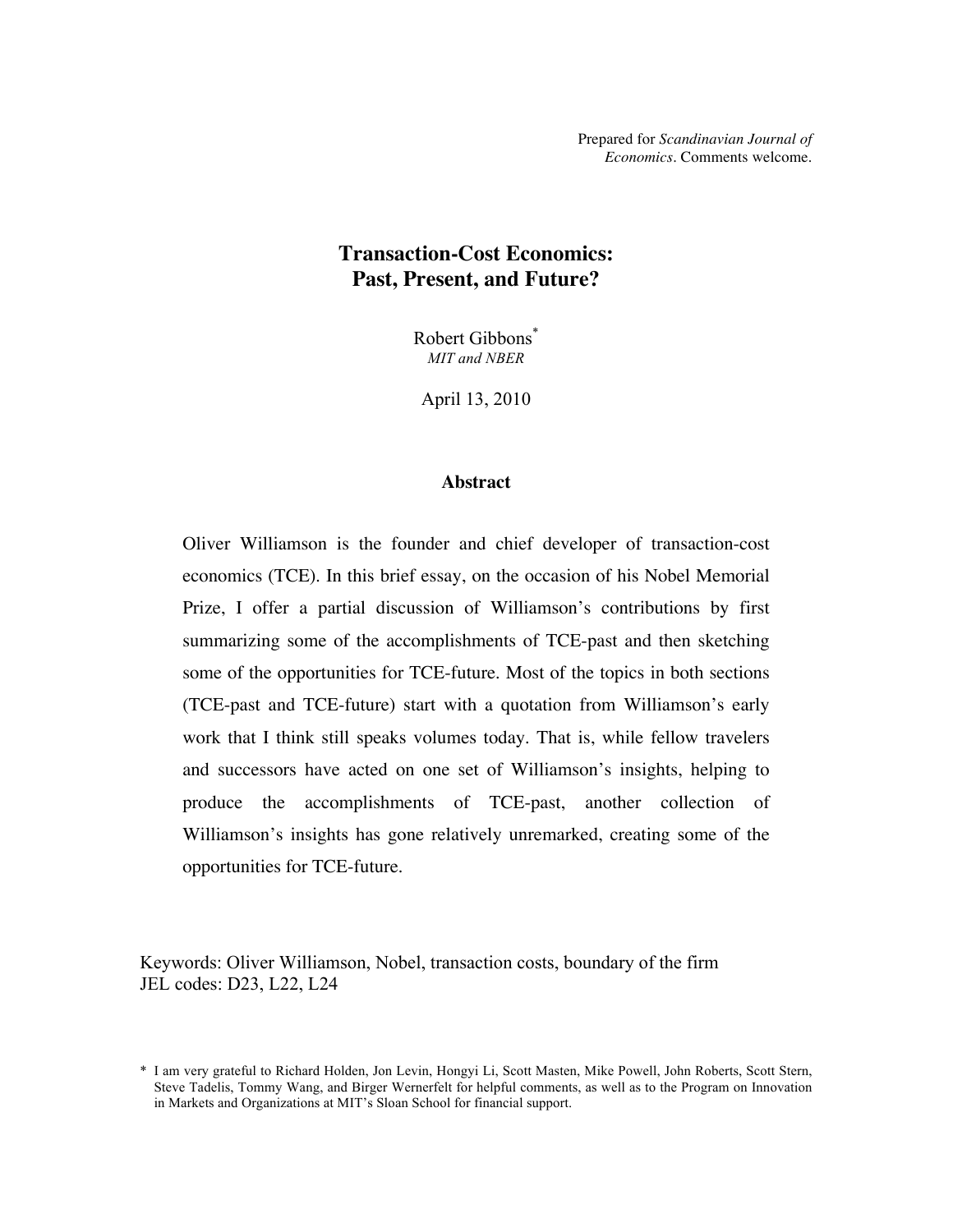Prepared for *Scandinavian Journal of Economics*. Comments welcome.

# **Transaction-Cost Economics: Past, Present, and Future?**

Robert Gibbons\* *MIT and NBER*

April 13, 2010

### **Abstract**

Oliver Williamson is the founder and chief developer of transaction-cost economics (TCE). In this brief essay, on the occasion of his Nobel Memorial Prize, I offer a partial discussion of Williamson's contributions by first summarizing some of the accomplishments of TCE-past and then sketching some of the opportunities for TCE-future. Most of the topics in both sections (TCE-past and TCE-future) start with a quotation from Williamson's early work that I think still speaks volumes today. That is, while fellow travelers and successors have acted on one set of Williamson's insights, helping to produce the accomplishments of TCE-past, another collection of Williamson's insights has gone relatively unremarked, creating some of the opportunities for TCE-future.

Keywords: Oliver Williamson, Nobel, transaction costs, boundary of the firm JEL codes: D23, L22, L24

<sup>\*</sup> I am very grateful to Richard Holden, Jon Levin, Hongyi Li, Scott Masten, Mike Powell, John Roberts, Scott Stern, Steve Tadelis, Tommy Wang, and Birger Wernerfelt for helpful comments, as well as to the Program on Innovation in Markets and Organizations at MIT's Sloan School for financial support.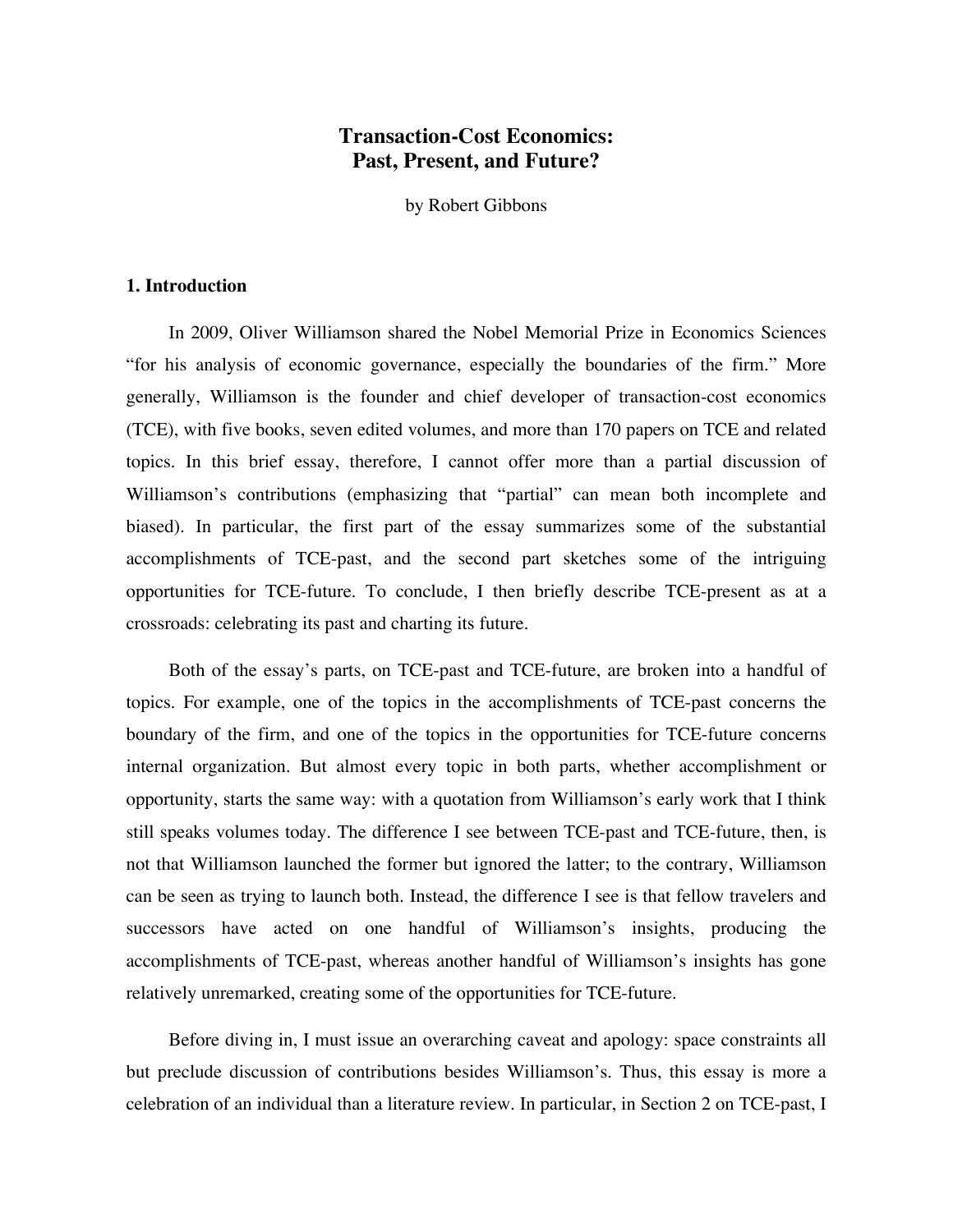# **Transaction-Cost Economics: Past, Present, and Future?**

by Robert Gibbons

# **1. Introduction**

In 2009, Oliver Williamson shared the Nobel Memorial Prize in Economics Sciences "for his analysis of economic governance, especially the boundaries of the firm." More generally, Williamson is the founder and chief developer of transaction-cost economics (TCE), with five books, seven edited volumes, and more than 170 papers on TCE and related topics. In this brief essay, therefore, I cannot offer more than a partial discussion of Williamson's contributions (emphasizing that "partial" can mean both incomplete and biased). In particular, the first part of the essay summarizes some of the substantial accomplishments of TCE-past, and the second part sketches some of the intriguing opportunities for TCE-future. To conclude, I then briefly describe TCE-present as at a crossroads: celebrating its past and charting its future.

Both of the essay's parts, on TCE-past and TCE-future, are broken into a handful of topics. For example, one of the topics in the accomplishments of TCE-past concerns the boundary of the firm, and one of the topics in the opportunities for TCE-future concerns internal organization. But almost every topic in both parts, whether accomplishment or opportunity, starts the same way: with a quotation from Williamson's early work that I think still speaks volumes today. The difference I see between TCE-past and TCE-future, then, is not that Williamson launched the former but ignored the latter; to the contrary, Williamson can be seen as trying to launch both. Instead, the difference I see is that fellow travelers and successors have acted on one handful of Williamson's insights, producing the accomplishments of TCE-past, whereas another handful of Williamson's insights has gone relatively unremarked, creating some of the opportunities for TCE-future.

Before diving in, I must issue an overarching caveat and apology: space constraints all but preclude discussion of contributions besides Williamson's. Thus, this essay is more a celebration of an individual than a literature review. In particular, in Section 2 on TCE-past, I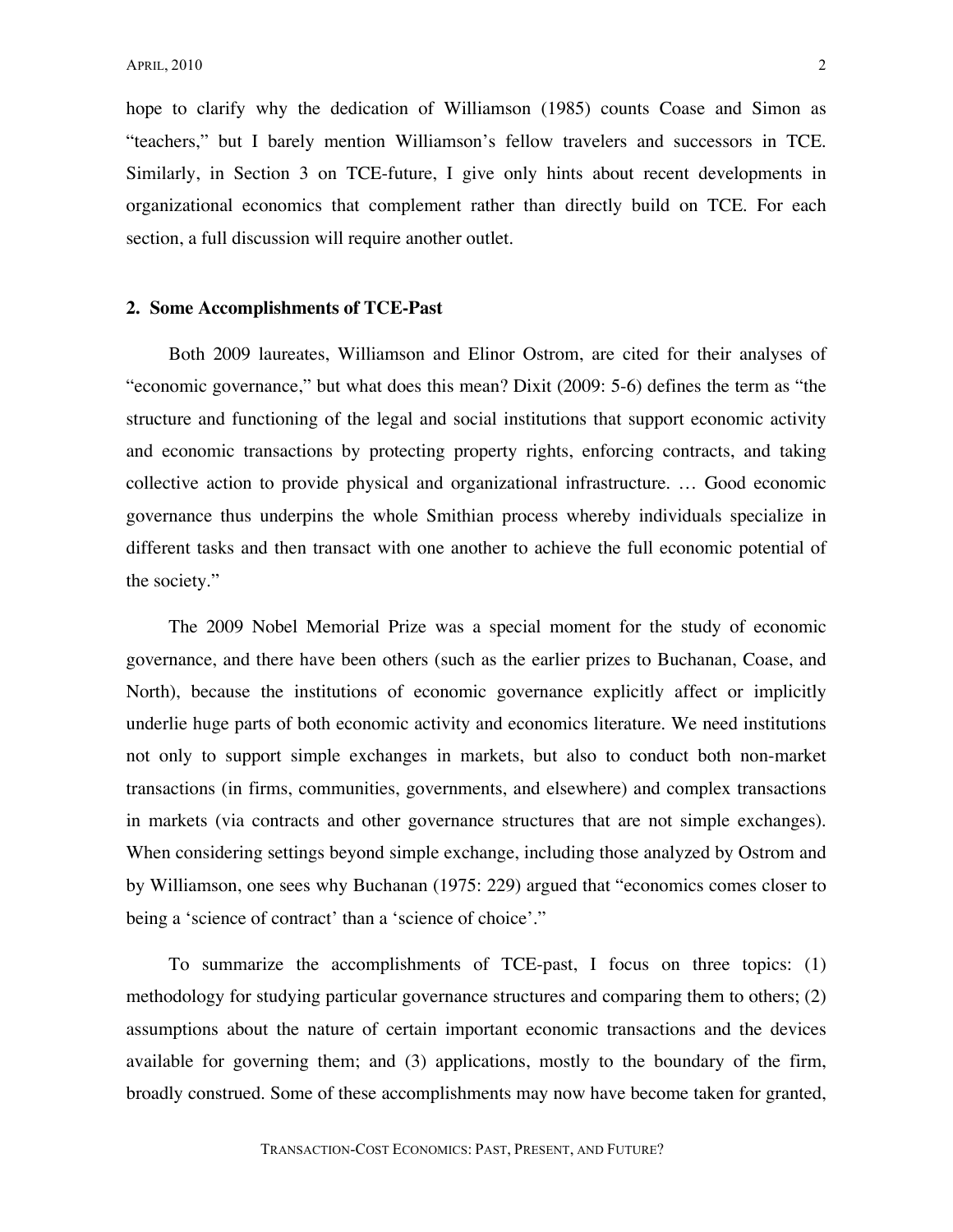hope to clarify why the dedication of Williamson (1985) counts Coase and Simon as "teachers," but I barely mention Williamson's fellow travelers and successors in TCE. Similarly, in Section 3 on TCE-future, I give only hints about recent developments in organizational economics that complement rather than directly build on TCE. For each section, a full discussion will require another outlet.

## **2. Some Accomplishments of TCE-Past**

Both 2009 laureates, Williamson and Elinor Ostrom, are cited for their analyses of "economic governance," but what does this mean? Dixit (2009: 5-6) defines the term as "the structure and functioning of the legal and social institutions that support economic activity and economic transactions by protecting property rights, enforcing contracts, and taking collective action to provide physical and organizational infrastructure. … Good economic governance thus underpins the whole Smithian process whereby individuals specialize in different tasks and then transact with one another to achieve the full economic potential of the society."

The 2009 Nobel Memorial Prize was a special moment for the study of economic governance, and there have been others (such as the earlier prizes to Buchanan, Coase, and North), because the institutions of economic governance explicitly affect or implicitly underlie huge parts of both economic activity and economics literature. We need institutions not only to support simple exchanges in markets, but also to conduct both non-market transactions (in firms, communities, governments, and elsewhere) and complex transactions in markets (via contracts and other governance structures that are not simple exchanges). When considering settings beyond simple exchange, including those analyzed by Ostrom and by Williamson, one sees why Buchanan (1975: 229) argued that "economics comes closer to being a 'science of contract' than a 'science of choice'."

To summarize the accomplishments of TCE-past, I focus on three topics: (1) methodology for studying particular governance structures and comparing them to others; (2) assumptions about the nature of certain important economic transactions and the devices available for governing them; and (3) applications, mostly to the boundary of the firm, broadly construed. Some of these accomplishments may now have become taken for granted,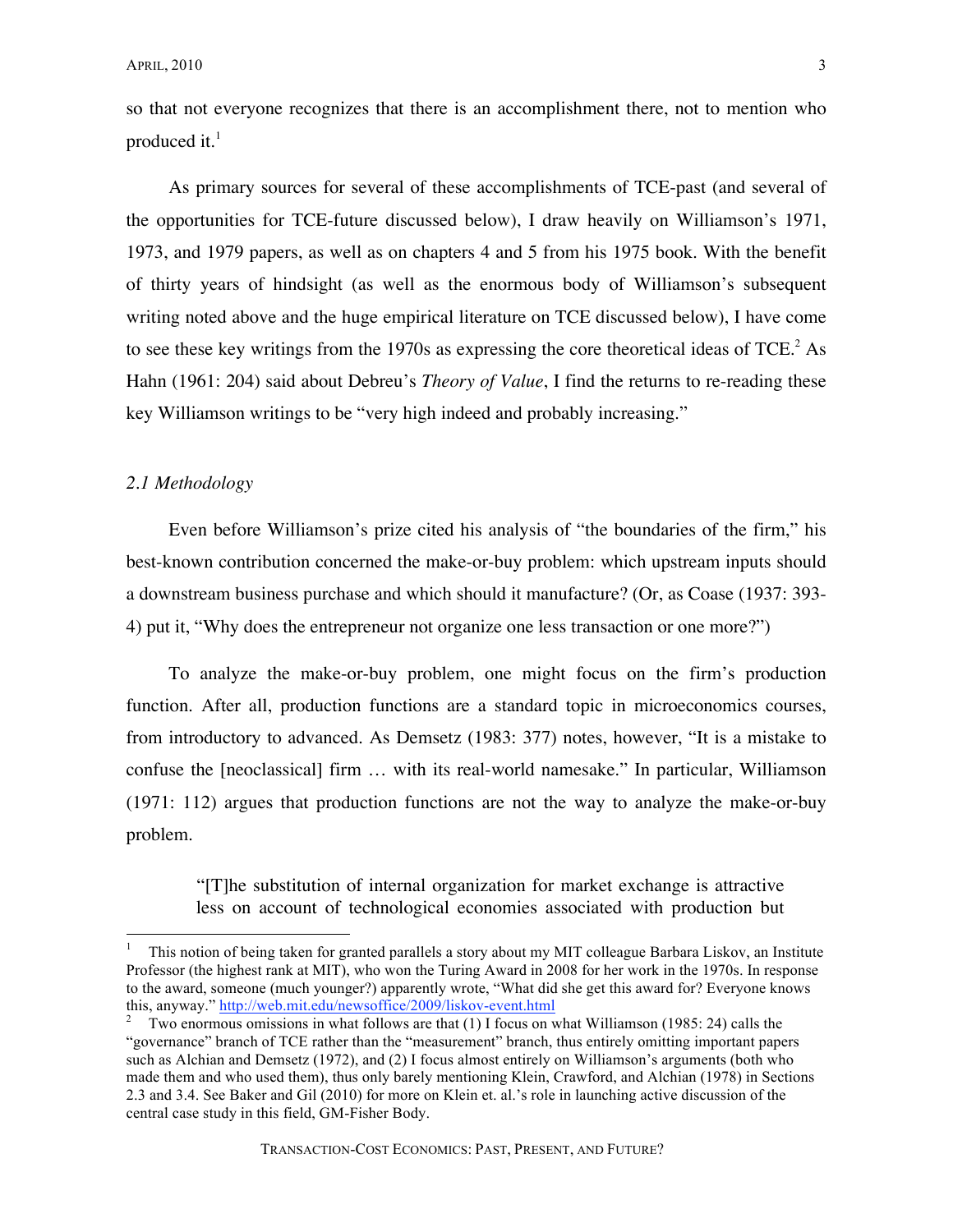so that not everyone recognizes that there is an accomplishment there, not to mention who produced it. $<sup>1</sup>$ </sup>

As primary sources for several of these accomplishments of TCE-past (and several of the opportunities for TCE-future discussed below), I draw heavily on Williamson's 1971, 1973, and 1979 papers, as well as on chapters 4 and 5 from his 1975 book. With the benefit of thirty years of hindsight (as well as the enormous body of Williamson's subsequent writing noted above and the huge empirical literature on TCE discussed below), I have come to see these key writings from the 1970s as expressing the core theoretical ideas of  $TCE^2$ . Hahn (1961: 204) said about Debreu's *Theory of Value*, I find the returns to re-reading these key Williamson writings to be "very high indeed and probably increasing."

#### *2.1 Methodology*

Even before Williamson's prize cited his analysis of "the boundaries of the firm," his best-known contribution concerned the make-or-buy problem: which upstream inputs should a downstream business purchase and which should it manufacture? (Or, as Coase (1937: 393- 4) put it, "Why does the entrepreneur not organize one less transaction or one more?")

To analyze the make-or-buy problem, one might focus on the firm's production function. After all, production functions are a standard topic in microeconomics courses, from introductory to advanced. As Demsetz (1983: 377) notes, however, "It is a mistake to confuse the [neoclassical] firm … with its real-world namesake." In particular, Williamson (1971: 112) argues that production functions are not the way to analyze the make-or-buy problem.

"[T]he substitution of internal organization for market exchange is attractive less on account of technological economies associated with production but

 <sup>1</sup> This notion of being taken for granted parallels <sup>a</sup> story about my MIT colleague Barbara Liskov, an Institute Professor (the highest rank at MIT), who won the Turing Award in 2008 for her work in the 1970s. In response to the award, someone (much younger?) apparently wrote, "What did she get this award for? Everyone knows this, anyway." http://web.mit.edu/newsoffice/2009/liskov-event.html  $\frac{2}{\pi}$  Two enormous omissions in what follows are that (1) I focus on what Williamson (1985: 24) calls the

<sup>&</sup>quot;governance" branch of TCE rather than the "measurement" branch, thus entirely omitting important papers such as Alchian and Demsetz (1972), and (2) I focus almost entirely on Williamson's arguments (both who made them and who used them), thus only barely mentioning Klein, Crawford, and Alchian (1978) in Sections 2.3 and 3.4. See Baker and Gil (2010) for more on Klein et. al.'s role in launching active discussion of the central case study in this field, GM-Fisher Body.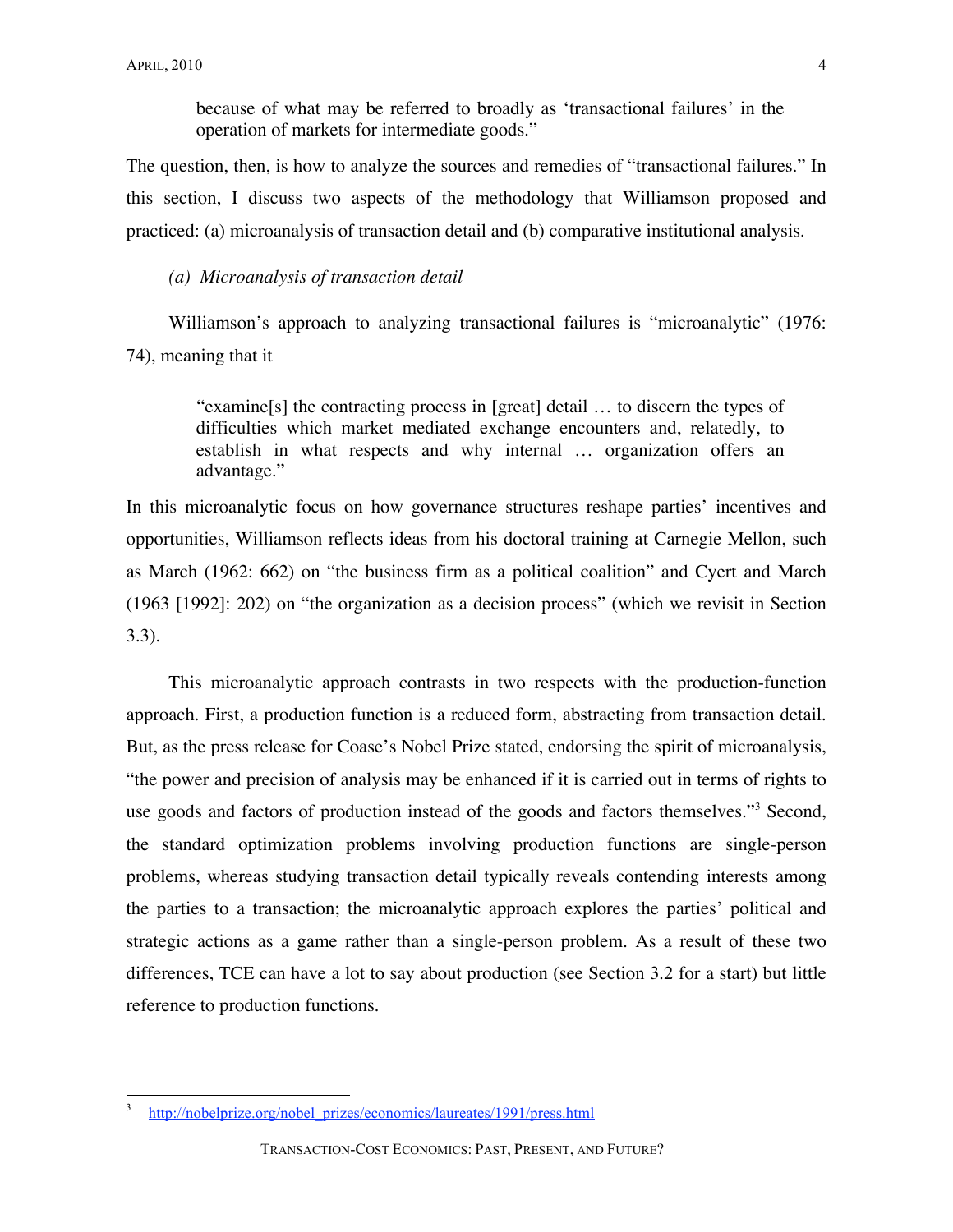because of what may be referred to broadly as 'transactional failures' in the operation of markets for intermediate goods."

The question, then, is how to analyze the sources and remedies of "transactional failures." In this section, I discuss two aspects of the methodology that Williamson proposed and practiced: (a) microanalysis of transaction detail and (b) comparative institutional analysis.

# *(a) Microanalysis of transaction detail*

Williamson's approach to analyzing transactional failures is "microanalytic" (1976: 74), meaning that it

> "examine[s] the contracting process in [great] detail … to discern the types of difficulties which market mediated exchange encounters and, relatedly, to establish in what respects and why internal … organization offers an advantage."

In this microanalytic focus on how governance structures reshape parties' incentives and opportunities, Williamson reflects ideas from his doctoral training at Carnegie Mellon, such as March (1962: 662) on "the business firm as a political coalition" and Cyert and March (1963 [1992]: 202) on "the organization as a decision process" (which we revisit in Section 3.3).

This microanalytic approach contrasts in two respects with the production-function approach. First, a production function is a reduced form, abstracting from transaction detail. But, as the press release for Coase's Nobel Prize stated, endorsing the spirit of microanalysis, "the power and precision of analysis may be enhanced if it is carried out in terms of rights to use goods and factors of production instead of the goods and factors themselves."<sup>3</sup> Second, the standard optimization problems involving production functions are single-person problems, whereas studying transaction detail typically reveals contending interests among the parties to a transaction; the microanalytic approach explores the parties' political and strategic actions as a game rather than a single-person problem. As a result of these two differences, TCE can have a lot to say about production (see Section 3.2 for a start) but little reference to production functions.

 <sup>3</sup> http://nobelprize.org/nobel\_prizes/economics/laureates/1991/press.html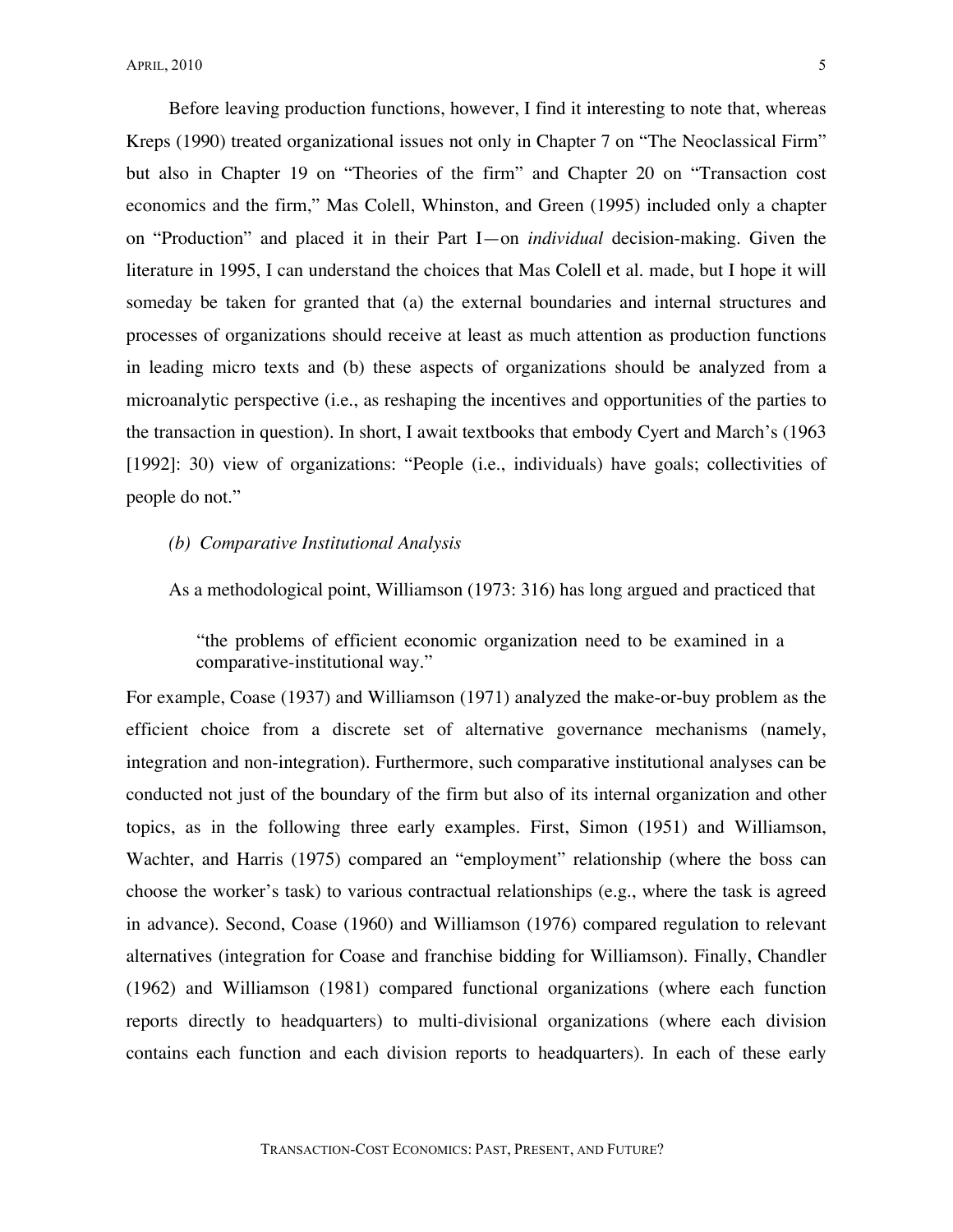Before leaving production functions, however, I find it interesting to note that, whereas Kreps (1990) treated organizational issues not only in Chapter 7 on "The Neoclassical Firm" but also in Chapter 19 on "Theories of the firm" and Chapter 20 on "Transaction cost economics and the firm," Mas Colell, Whinston, and Green (1995) included only a chapter on "Production" and placed it in their Part I—on *individual* decision-making. Given the literature in 1995, I can understand the choices that Mas Colell et al. made, but I hope it will someday be taken for granted that (a) the external boundaries and internal structures and processes of organizations should receive at least as much attention as production functions in leading micro texts and (b) these aspects of organizations should be analyzed from a microanalytic perspective (i.e., as reshaping the incentives and opportunities of the parties to the transaction in question). In short, I await textbooks that embody Cyert and March's (1963 [1992]: 30) view of organizations: "People (i.e., individuals) have goals; collectivities of people do not."

# *(b) Comparative Institutional Analysis*

As a methodological point, Williamson (1973: 316) has long argued and practiced that

"the problems of efficient economic organization need to be examined in a comparative-institutional way."

For example, Coase (1937) and Williamson (1971) analyzed the make-or-buy problem as the efficient choice from a discrete set of alternative governance mechanisms (namely, integration and non-integration). Furthermore, such comparative institutional analyses can be conducted not just of the boundary of the firm but also of its internal organization and other topics, as in the following three early examples. First, Simon (1951) and Williamson, Wachter, and Harris (1975) compared an "employment" relationship (where the boss can choose the worker's task) to various contractual relationships (e.g., where the task is agreed in advance). Second, Coase (1960) and Williamson (1976) compared regulation to relevant alternatives (integration for Coase and franchise bidding for Williamson). Finally, Chandler (1962) and Williamson (1981) compared functional organizations (where each function reports directly to headquarters) to multi-divisional organizations (where each division contains each function and each division reports to headquarters). In each of these early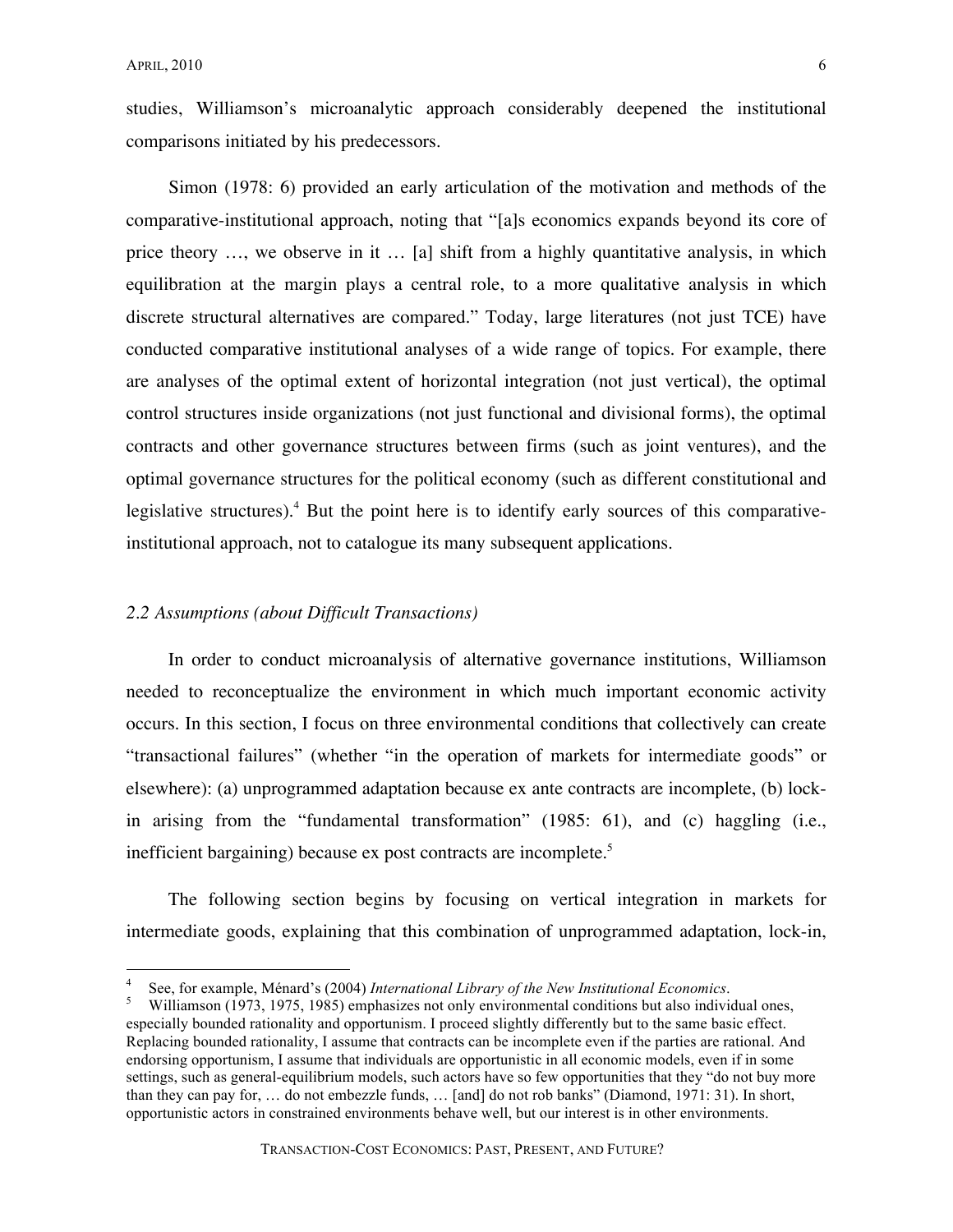studies, Williamson's microanalytic approach considerably deepened the institutional comparisons initiated by his predecessors.

Simon (1978: 6) provided an early articulation of the motivation and methods of the comparative-institutional approach, noting that "[a]s economics expands beyond its core of price theory …, we observe in it … [a] shift from a highly quantitative analysis, in which equilibration at the margin plays a central role, to a more qualitative analysis in which discrete structural alternatives are compared." Today, large literatures (not just TCE) have conducted comparative institutional analyses of a wide range of topics. For example, there are analyses of the optimal extent of horizontal integration (not just vertical), the optimal control structures inside organizations (not just functional and divisional forms), the optimal contracts and other governance structures between firms (such as joint ventures), and the optimal governance structures for the political economy (such as different constitutional and legislative structures).<sup>4</sup> But the point here is to identify early sources of this comparativeinstitutional approach, not to catalogue its many subsequent applications.

# *2.2 Assumptions (about Difficult Transactions)*

In order to conduct microanalysis of alternative governance institutions, Williamson needed to reconceptualize the environment in which much important economic activity occurs. In this section, I focus on three environmental conditions that collectively can create "transactional failures" (whether "in the operation of markets for intermediate goods" or elsewhere): (a) unprogrammed adaptation because ex ante contracts are incomplete, (b) lockin arising from the "fundamental transformation" (1985: 61), and (c) haggling (i.e., inefficient bargaining) because ex post contracts are incomplete.<sup>5</sup>

The following section begins by focusing on vertical integration in markets for intermediate goods, explaining that this combination of unprogrammed adaptation, lock-in,

See, for example, Ménard's (2004) International Library of the New Institutional Economics.<br>Williamson (1973, 1975, 1985) emphasizes not only environmental conditions but also individual ones.

especially bounded rationality and opportunism. I proceed slightly differently but to the same basic effect. Replacing bounded rationality, I assume that contracts can be incomplete even if the parties are rational. And endorsing opportunism, I assume that individuals are opportunistic in all economic models, even if in some settings, such as general-equilibrium models, such actors have so few opportunities that they "do not buy more than they can pay for, … do not embezzle funds, … [and] do not rob banks" (Diamond, 1971: 31). In short, opportunistic actors in constrained environments behave well, but our interest is in other environments.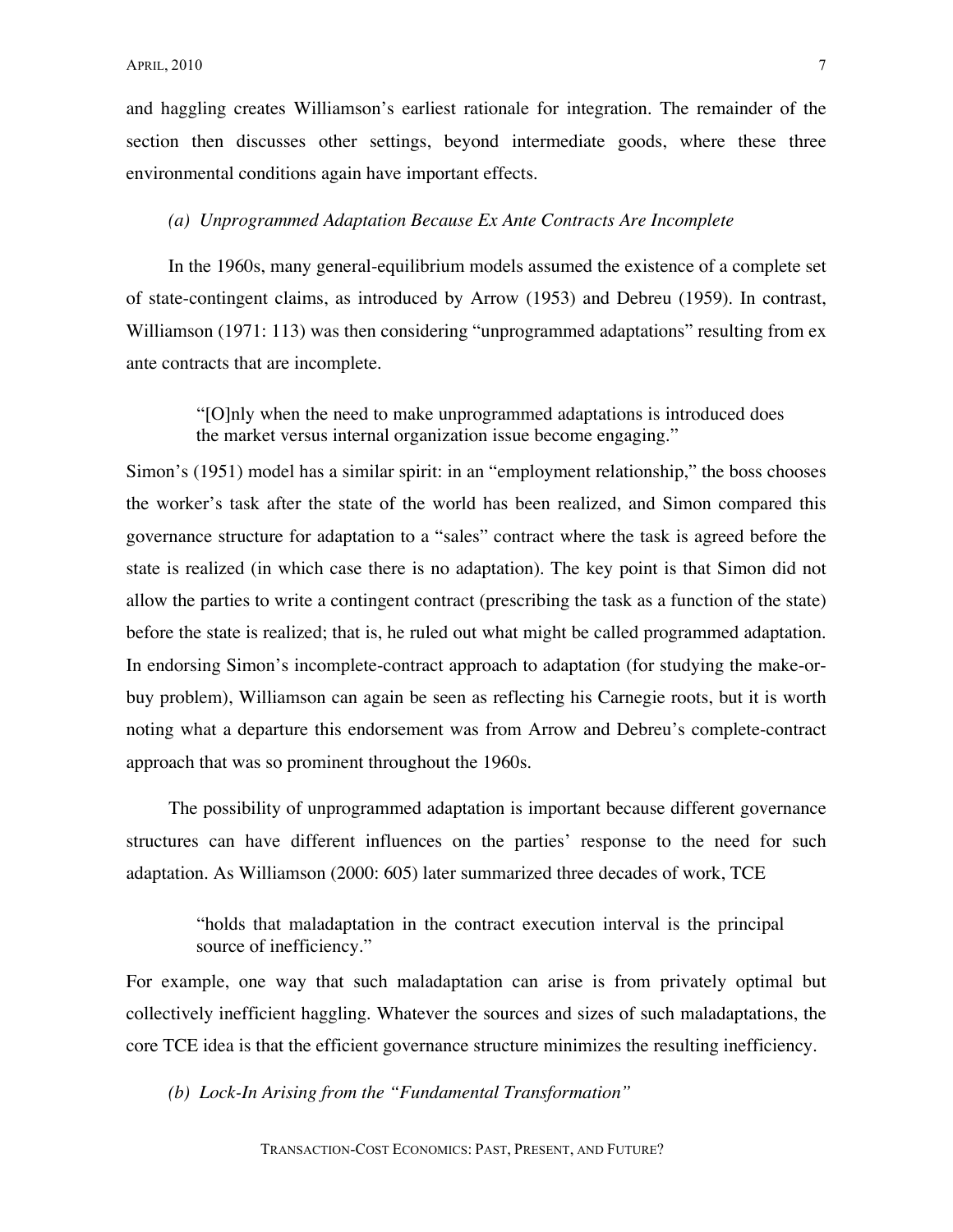and haggling creates Williamson's earliest rationale for integration. The remainder of the section then discusses other settings, beyond intermediate goods, where these three environmental conditions again have important effects.

#### *(a) Unprogrammed Adaptation Because Ex Ante Contracts Are Incomplete*

In the 1960s, many general-equilibrium models assumed the existence of a complete set of state-contingent claims, as introduced by Arrow (1953) and Debreu (1959). In contrast, Williamson (1971: 113) was then considering "unprogrammed adaptations" resulting from ex ante contracts that are incomplete.

"[O]nly when the need to make unprogrammed adaptations is introduced does the market versus internal organization issue become engaging."

Simon's (1951) model has a similar spirit: in an "employment relationship," the boss chooses the worker's task after the state of the world has been realized, and Simon compared this governance structure for adaptation to a "sales" contract where the task is agreed before the state is realized (in which case there is no adaptation). The key point is that Simon did not allow the parties to write a contingent contract (prescribing the task as a function of the state) before the state is realized; that is, he ruled out what might be called programmed adaptation. In endorsing Simon's incomplete-contract approach to adaptation (for studying the make-orbuy problem), Williamson can again be seen as reflecting his Carnegie roots, but it is worth noting what a departure this endorsement was from Arrow and Debreu's complete-contract approach that was so prominent throughout the 1960s.

The possibility of unprogrammed adaptation is important because different governance structures can have different influences on the parties' response to the need for such adaptation. As Williamson (2000: 605) later summarized three decades of work, TCE

"holds that maladaptation in the contract execution interval is the principal source of inefficiency."

For example, one way that such maladaptation can arise is from privately optimal but collectively inefficient haggling. Whatever the sources and sizes of such maladaptations, the core TCE idea is that the efficient governance structure minimizes the resulting inefficiency.

*(b) Lock-In Arising from the "Fundamental Transformation"*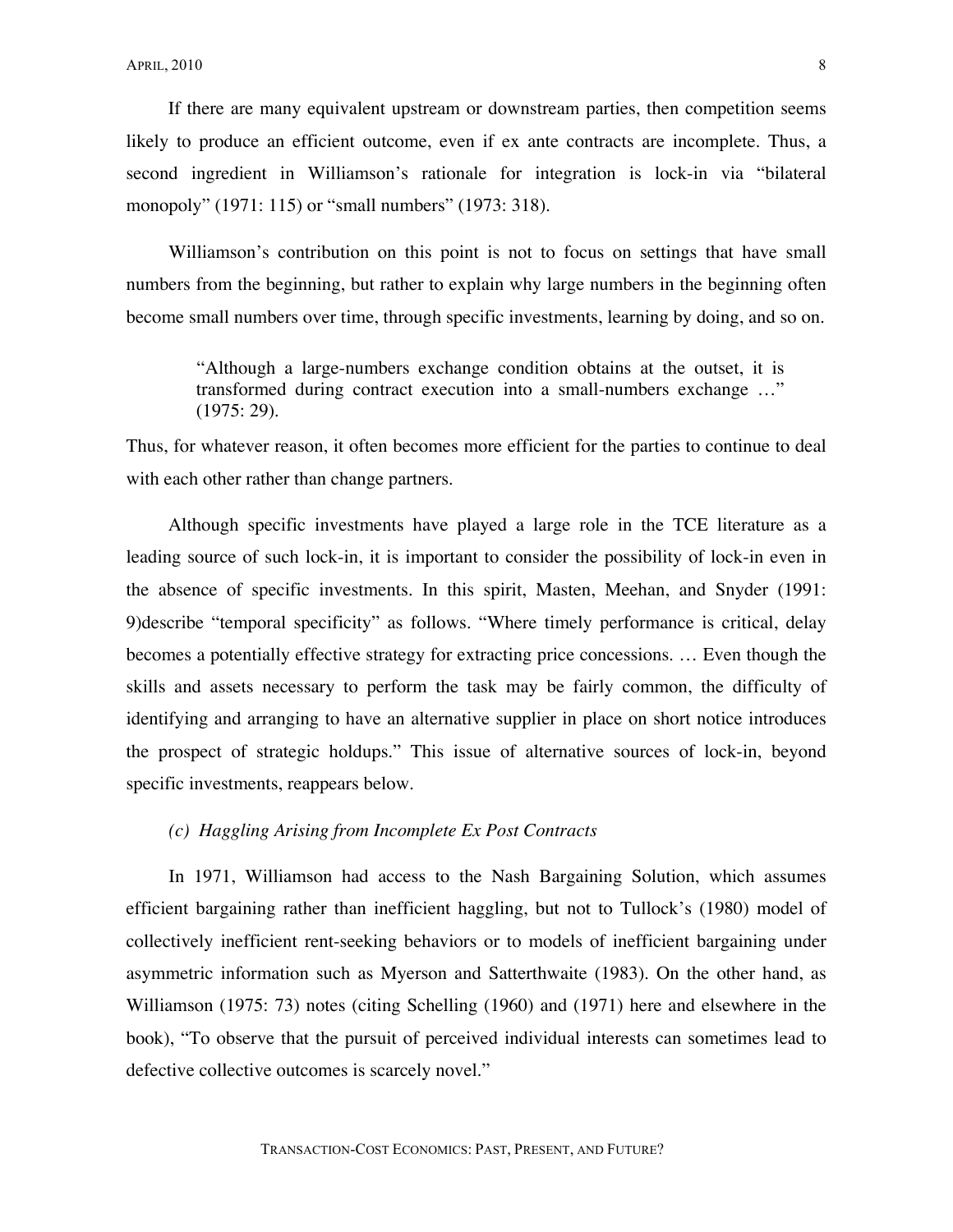If there are many equivalent upstream or downstream parties, then competition seems likely to produce an efficient outcome, even if ex ante contracts are incomplete. Thus, a second ingredient in Williamson's rationale for integration is lock-in via "bilateral monopoly" (1971: 115) or "small numbers" (1973: 318).

Williamson's contribution on this point is not to focus on settings that have small numbers from the beginning, but rather to explain why large numbers in the beginning often become small numbers over time, through specific investments, learning by doing, and so on.

"Although a large-numbers exchange condition obtains at the outset, it is transformed during contract execution into a small-numbers exchange …" (1975: 29).

Thus, for whatever reason, it often becomes more efficient for the parties to continue to deal with each other rather than change partners.

Although specific investments have played a large role in the TCE literature as a leading source of such lock-in, it is important to consider the possibility of lock-in even in the absence of specific investments. In this spirit, Masten, Meehan, and Snyder (1991: 9)describe "temporal specificity" as follows. "Where timely performance is critical, delay becomes a potentially effective strategy for extracting price concessions. … Even though the skills and assets necessary to perform the task may be fairly common, the difficulty of identifying and arranging to have an alternative supplier in place on short notice introduces the prospect of strategic holdups." This issue of alternative sources of lock-in, beyond specific investments, reappears below.

# *(c) Haggling Arising from Incomplete Ex Post Contracts*

In 1971, Williamson had access to the Nash Bargaining Solution, which assumes efficient bargaining rather than inefficient haggling, but not to Tullock's (1980) model of collectively inefficient rent-seeking behaviors or to models of inefficient bargaining under asymmetric information such as Myerson and Satterthwaite (1983). On the other hand, as Williamson (1975: 73) notes (citing Schelling (1960) and (1971) here and elsewhere in the book), "To observe that the pursuit of perceived individual interests can sometimes lead to defective collective outcomes is scarcely novel."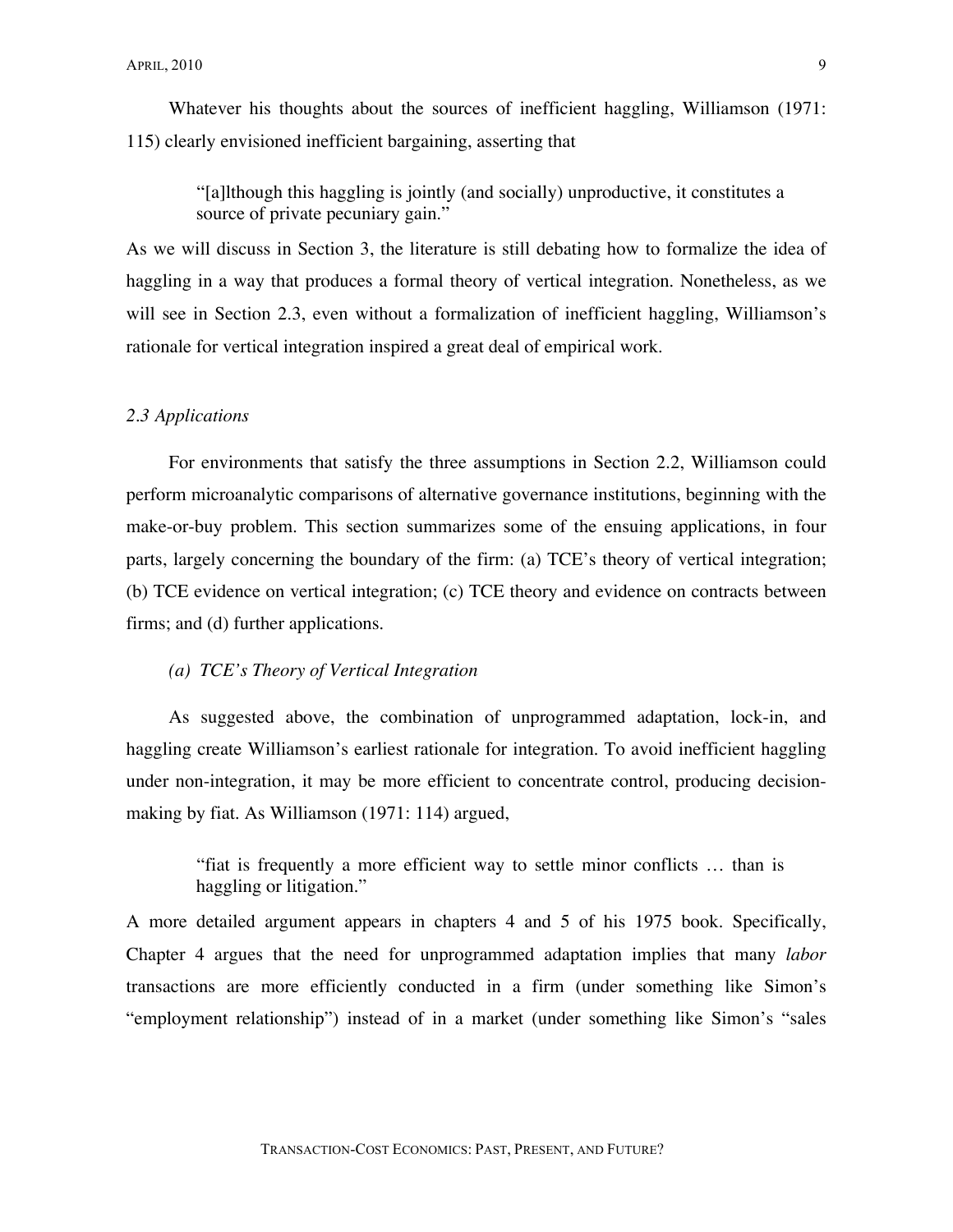Whatever his thoughts about the sources of inefficient haggling, Williamson (1971: 115) clearly envisioned inefficient bargaining, asserting that

"[a]lthough this haggling is jointly (and socially) unproductive, it constitutes a source of private pecuniary gain."

As we will discuss in Section 3, the literature is still debating how to formalize the idea of haggling in a way that produces a formal theory of vertical integration. Nonetheless, as we will see in Section 2.3, even without a formalization of inefficient haggling, Williamson's rationale for vertical integration inspired a great deal of empirical work.

#### *2.3 Applications*

For environments that satisfy the three assumptions in Section 2.2, Williamson could perform microanalytic comparisons of alternative governance institutions, beginning with the make-or-buy problem. This section summarizes some of the ensuing applications, in four parts, largely concerning the boundary of the firm: (a) TCE's theory of vertical integration; (b) TCE evidence on vertical integration; (c) TCE theory and evidence on contracts between firms; and (d) further applications.

# *(a) TCE's Theory of Vertical Integration*

As suggested above, the combination of unprogrammed adaptation, lock-in, and haggling create Williamson's earliest rationale for integration. To avoid inefficient haggling under non-integration, it may be more efficient to concentrate control, producing decisionmaking by fiat. As Williamson (1971: 114) argued,

> "fiat is frequently a more efficient way to settle minor conflicts … than is haggling or litigation."

A more detailed argument appears in chapters 4 and 5 of his 1975 book. Specifically, Chapter 4 argues that the need for unprogrammed adaptation implies that many *labor* transactions are more efficiently conducted in a firm (under something like Simon's "employment relationship") instead of in a market (under something like Simon's "sales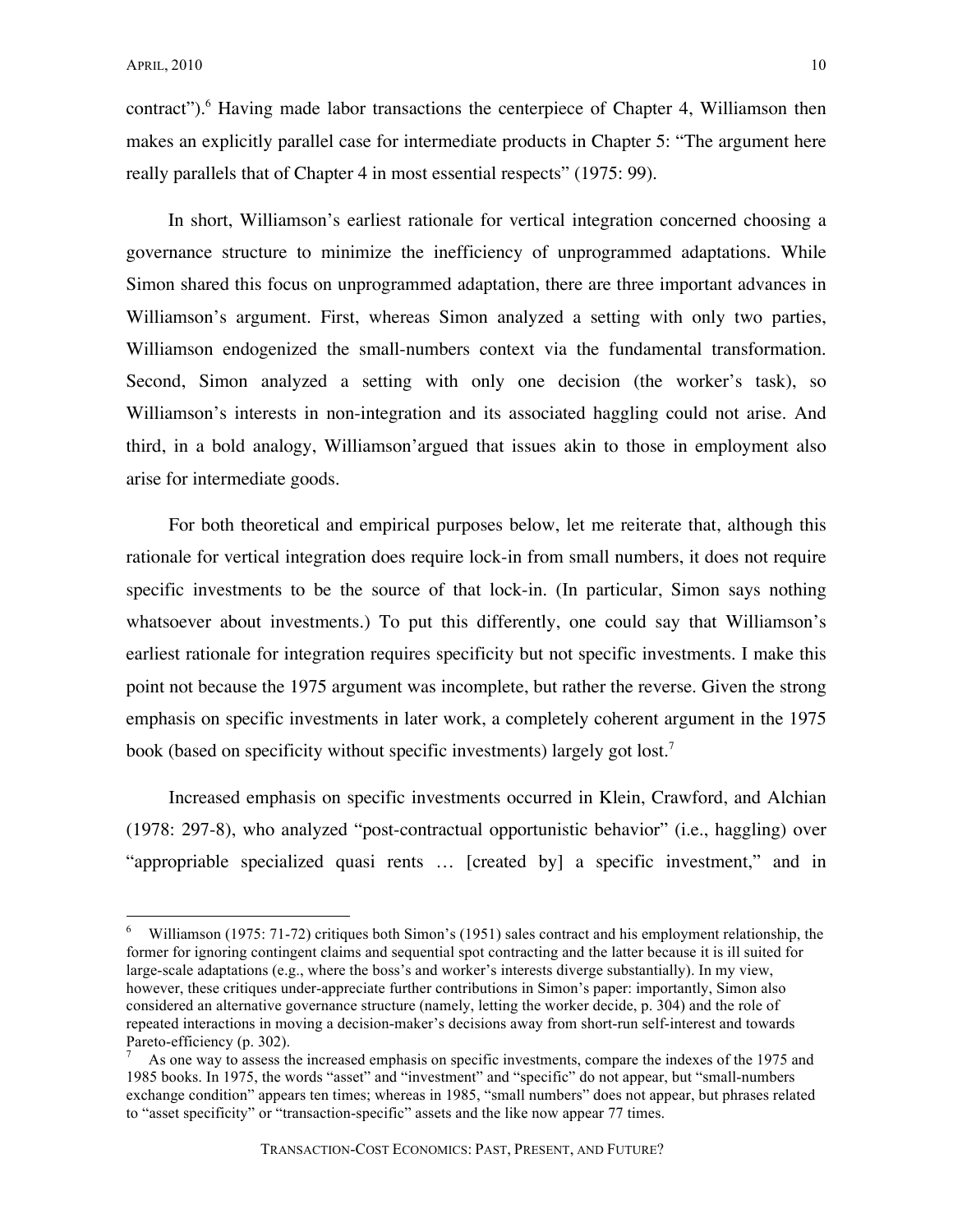contract").<sup>6</sup> Having made labor transactions the centerpiece of Chapter 4, Williamson then makes an explicitly parallel case for intermediate products in Chapter 5: "The argument here really parallels that of Chapter 4 in most essential respects" (1975: 99).

In short, Williamson's earliest rationale for vertical integration concerned choosing a governance structure to minimize the inefficiency of unprogrammed adaptations. While Simon shared this focus on unprogrammed adaptation, there are three important advances in Williamson's argument. First, whereas Simon analyzed a setting with only two parties, Williamson endogenized the small-numbers context via the fundamental transformation. Second, Simon analyzed a setting with only one decision (the worker's task), so Williamson's interests in non-integration and its associated haggling could not arise. And third, in a bold analogy, Williamson'argued that issues akin to those in employment also arise for intermediate goods.

For both theoretical and empirical purposes below, let me reiterate that, although this rationale for vertical integration does require lock-in from small numbers, it does not require specific investments to be the source of that lock-in. (In particular, Simon says nothing whatsoever about investments.) To put this differently, one could say that Williamson's earliest rationale for integration requires specificity but not specific investments. I make this point not because the 1975 argument was incomplete, but rather the reverse. Given the strong emphasis on specific investments in later work, a completely coherent argument in the 1975 book (based on specificity without specific investments) largely got lost.<sup>7</sup>

Increased emphasis on specific investments occurred in Klein, Crawford, and Alchian (1978: 297-8), who analyzed "post-contractual opportunistic behavior" (i.e., haggling) over "appropriable specialized quasi rents … [created by] a specific investment," and in

Williamson (1975: 71-72) critiques both Simon's (1951) sales contract and his employment relationship, the former for ignoring contingent claims and sequential spot contracting and the latter because it is ill suited for large-scale adaptations (e.g., where the boss's and worker's interests diverge substantially). In my view, however, these critiques under-appreciate further contributions in Simon's paper: importantly, Simon also considered an alternative governance structure (namely, letting the worker decide, p. 304) and the role of repeated interactions in moving a decision-maker's decisions away from short-run self-interest and towards Pareto-efficiency (p. 302).  $\frac{7}{1}$  As one way to assess the increased emphasis on specific investments, compare the indexes of the 1975 and

<sup>1985</sup> books. In 1975, the words "asset" and "investment" and "specific" do not appear, but "small-numbers exchange condition" appears ten times; whereas in 1985, "small numbers" does not appear, but phrases related to "asset specificity" or "transaction-specific" assets and the like now appear 77 times.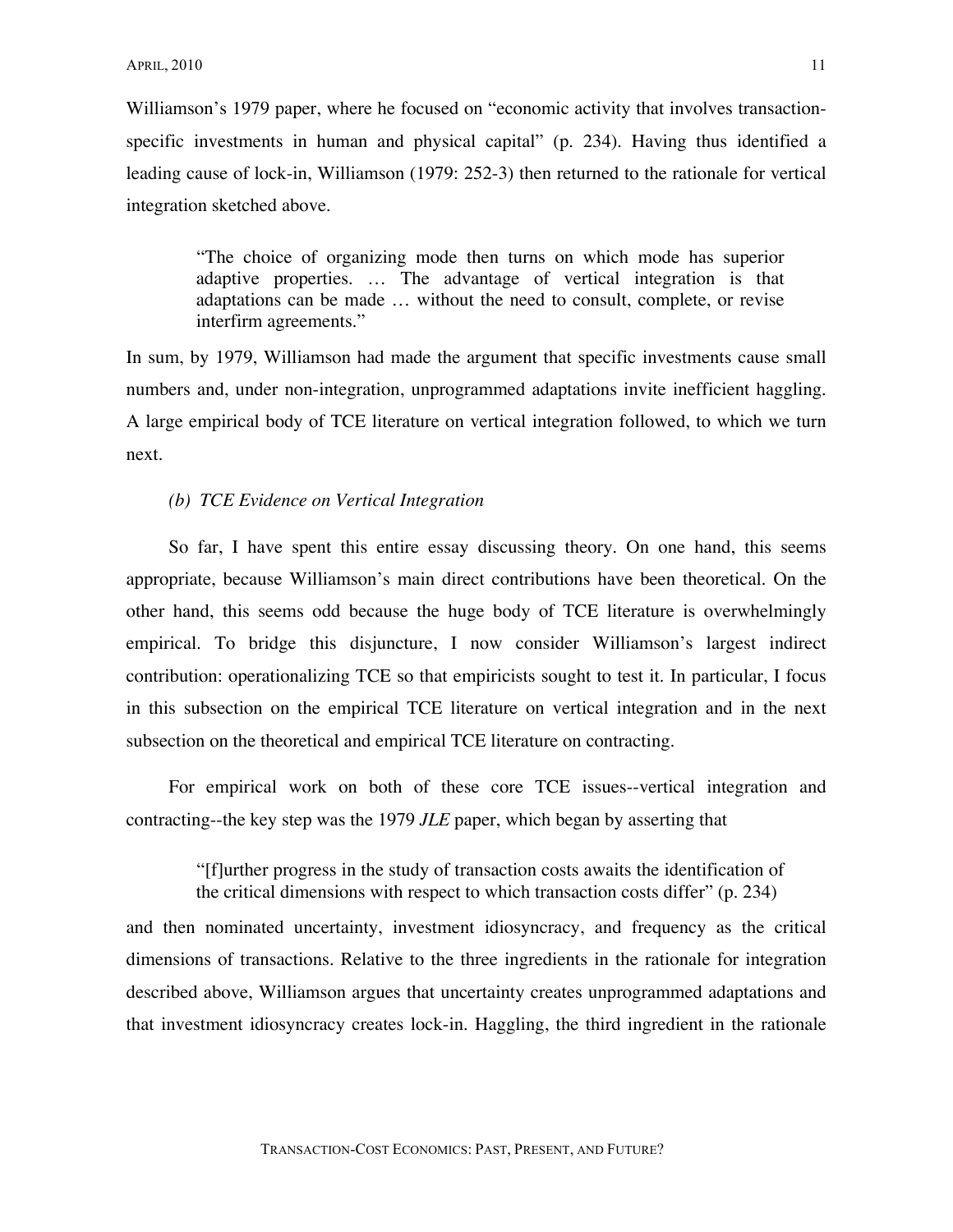Williamson's 1979 paper, where he focused on "economic activity that involves transactionspecific investments in human and physical capital" (p. 234). Having thus identified a leading cause of lock-in, Williamson (1979: 252-3) then returned to the rationale for vertical integration sketched above.

"The choice of organizing mode then turns on which mode has superior adaptive properties. … The advantage of vertical integration is that adaptations can be made … without the need to consult, complete, or revise interfirm agreements."

In sum, by 1979, Williamson had made the argument that specific investments cause small numbers and, under non-integration, unprogrammed adaptations invite inefficient haggling. A large empirical body of TCE literature on vertical integration followed, to which we turn next.

### *(b) TCE Evidence on Vertical Integration*

So far, I have spent this entire essay discussing theory. On one hand, this seems appropriate, because Williamson's main direct contributions have been theoretical. On the other hand, this seems odd because the huge body of TCE literature is overwhelmingly empirical. To bridge this disjuncture, I now consider Williamson's largest indirect contribution: operationalizing TCE so that empiricists sought to test it. In particular, I focus in this subsection on the empirical TCE literature on vertical integration and in the next subsection on the theoretical and empirical TCE literature on contracting.

For empirical work on both of these core TCE issues--vertical integration and contracting--the key step was the 1979 *JLE* paper, which began by asserting that

> "[f]urther progress in the study of transaction costs awaits the identification of the critical dimensions with respect to which transaction costs differ" (p. 234)

and then nominated uncertainty, investment idiosyncracy, and frequency as the critical dimensions of transactions. Relative to the three ingredients in the rationale for integration described above, Williamson argues that uncertainty creates unprogrammed adaptations and that investment idiosyncracy creates lock-in. Haggling, the third ingredient in the rationale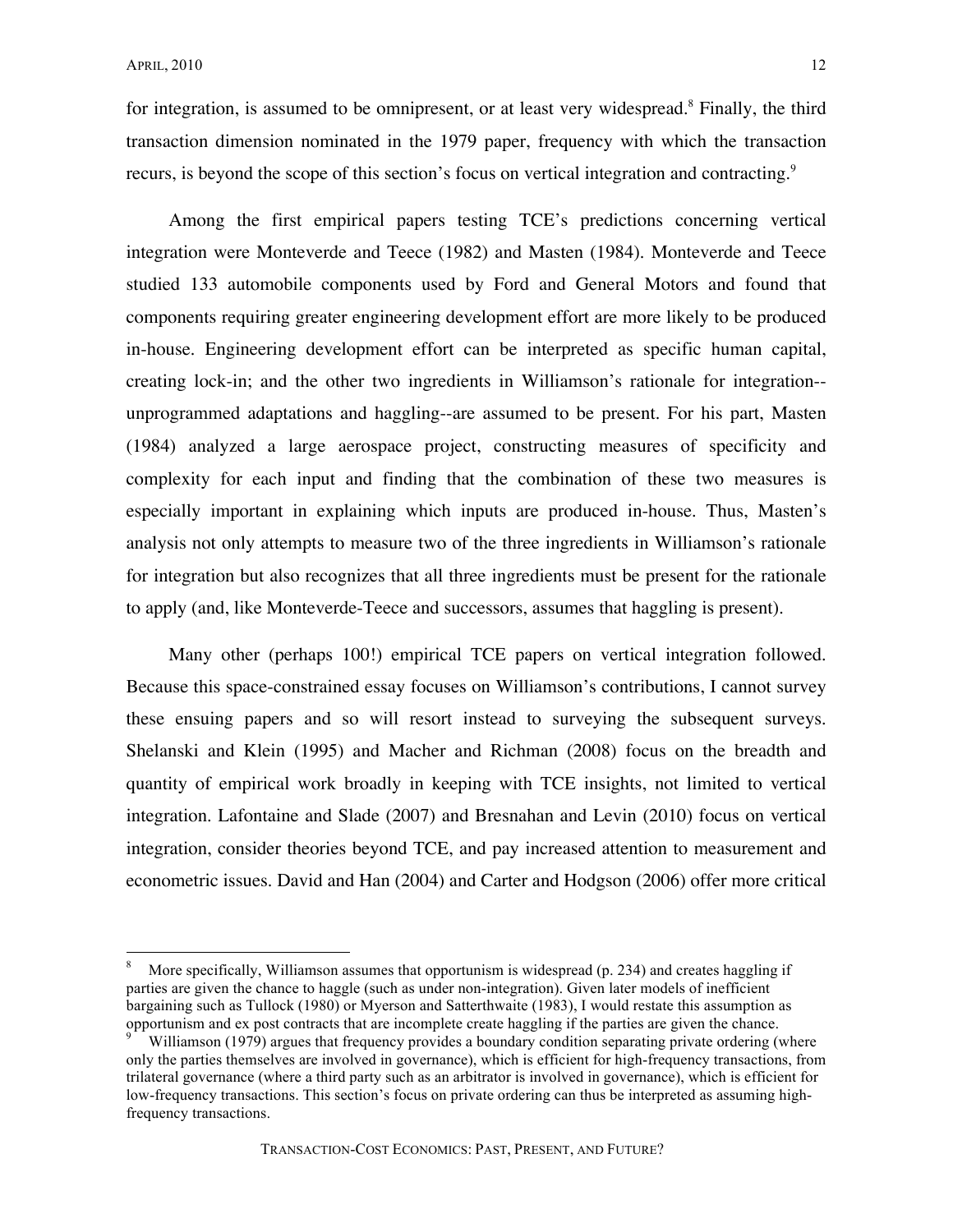for integration, is assumed to be omnipresent, or at least very widespread.<sup>8</sup> Finally, the third transaction dimension nominated in the 1979 paper, frequency with which the transaction recurs, is beyond the scope of this section's focus on vertical integration and contracting.<sup>9</sup>

Among the first empirical papers testing TCE's predictions concerning vertical integration were Monteverde and Teece (1982) and Masten (1984). Monteverde and Teece studied 133 automobile components used by Ford and General Motors and found that components requiring greater engineering development effort are more likely to be produced in-house. Engineering development effort can be interpreted as specific human capital, creating lock-in; and the other two ingredients in Williamson's rationale for integration- unprogrammed adaptations and haggling--are assumed to be present. For his part, Masten (1984) analyzed a large aerospace project, constructing measures of specificity and complexity for each input and finding that the combination of these two measures is especially important in explaining which inputs are produced in-house. Thus, Masten's analysis not only attempts to measure two of the three ingredients in Williamson's rationale for integration but also recognizes that all three ingredients must be present for the rationale to apply (and, like Monteverde-Teece and successors, assumes that haggling is present).

Many other (perhaps 100!) empirical TCE papers on vertical integration followed. Because this space-constrained essay focuses on Williamson's contributions, I cannot survey these ensuing papers and so will resort instead to surveying the subsequent surveys. Shelanski and Klein (1995) and Macher and Richman (2008) focus on the breadth and quantity of empirical work broadly in keeping with TCE insights, not limited to vertical integration. Lafontaine and Slade (2007) and Bresnahan and Levin (2010) focus on vertical integration, consider theories beyond TCE, and pay increased attention to measurement and econometric issues. David and Han (2004) and Carter and Hodgson (2006) offer more critical

 <sup>8</sup> More specifically, Williamson assumes that opportunism is widespread (p. 234) and creates haggling if parties are given the chance to haggle (such as under non-integration). Given later models of inefficient bargaining such as Tullock (1980) or Myerson and Satterthwaite (1983), I would restate this assumption as opportunism and ex post contracts that are incomplete create haggling if the parties are given the chance.<br><sup>9</sup> Williamson (1979) argues that frequency provides a boundary condition separating private ordering (where

only the parties themselves are involved in governance), which is efficient for high-frequency transactions, from trilateral governance (where a third party such as an arbitrator is involved in governance), which is efficient for low-frequency transactions. This section's focus on private ordering can thus be interpreted as assuming highfrequency transactions.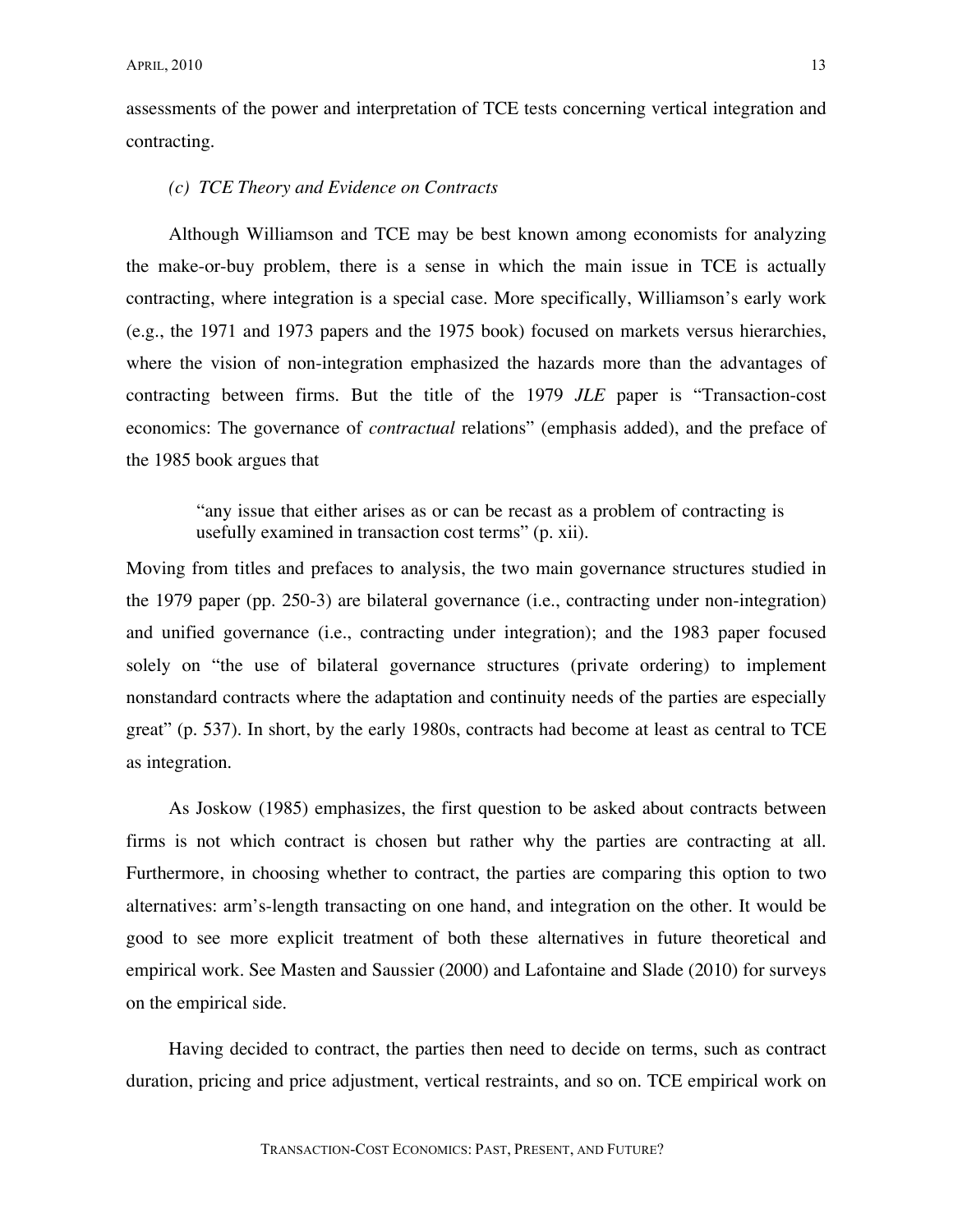assessments of the power and interpretation of TCE tests concerning vertical integration and contracting.

#### *(c) TCE Theory and Evidence on Contracts*

Although Williamson and TCE may be best known among economists for analyzing the make-or-buy problem, there is a sense in which the main issue in TCE is actually contracting, where integration is a special case. More specifically, Williamson's early work (e.g., the 1971 and 1973 papers and the 1975 book) focused on markets versus hierarchies, where the vision of non-integration emphasized the hazards more than the advantages of contracting between firms. But the title of the 1979 *JLE* paper is "Transaction-cost economics: The governance of *contractual* relations" (emphasis added), and the preface of the 1985 book argues that

> "any issue that either arises as or can be recast as a problem of contracting is usefully examined in transaction cost terms" (p. xii).

Moving from titles and prefaces to analysis, the two main governance structures studied in the 1979 paper (pp. 250-3) are bilateral governance (i.e., contracting under non-integration) and unified governance (i.e., contracting under integration); and the 1983 paper focused solely on "the use of bilateral governance structures (private ordering) to implement nonstandard contracts where the adaptation and continuity needs of the parties are especially great" (p. 537). In short, by the early 1980s, contracts had become at least as central to TCE as integration.

As Joskow (1985) emphasizes, the first question to be asked about contracts between firms is not which contract is chosen but rather why the parties are contracting at all. Furthermore, in choosing whether to contract, the parties are comparing this option to two alternatives: arm's-length transacting on one hand, and integration on the other. It would be good to see more explicit treatment of both these alternatives in future theoretical and empirical work. See Masten and Saussier (2000) and Lafontaine and Slade (2010) for surveys on the empirical side.

Having decided to contract, the parties then need to decide on terms, such as contract duration, pricing and price adjustment, vertical restraints, and so on. TCE empirical work on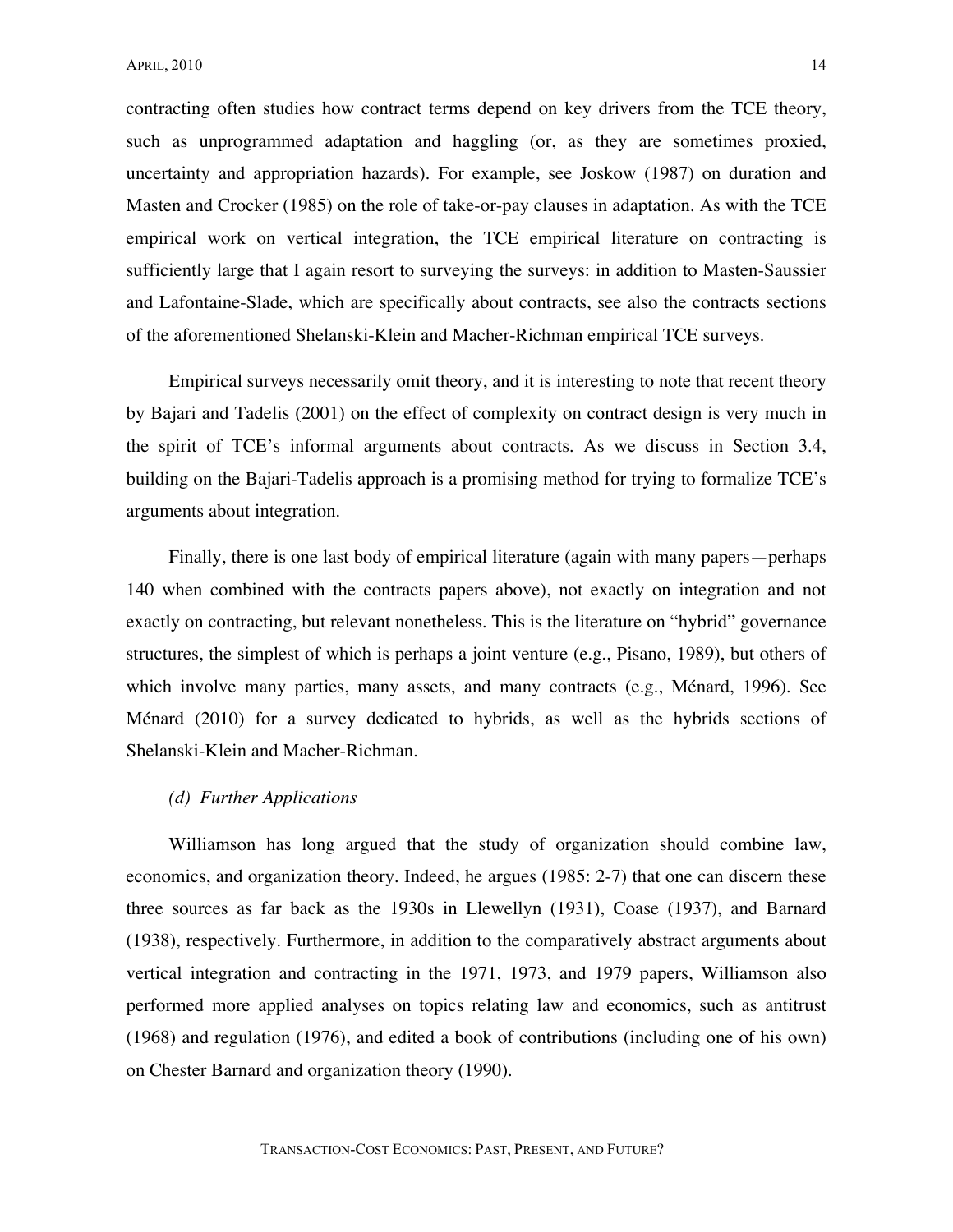contracting often studies how contract terms depend on key drivers from the TCE theory, such as unprogrammed adaptation and haggling (or, as they are sometimes proxied, uncertainty and appropriation hazards). For example, see Joskow (1987) on duration and Masten and Crocker (1985) on the role of take-or-pay clauses in adaptation. As with the TCE empirical work on vertical integration, the TCE empirical literature on contracting is sufficiently large that I again resort to surveying the surveys: in addition to Masten-Saussier and Lafontaine-Slade, which are specifically about contracts, see also the contracts sections of the aforementioned Shelanski-Klein and Macher-Richman empirical TCE surveys.

Empirical surveys necessarily omit theory, and it is interesting to note that recent theory by Bajari and Tadelis (2001) on the effect of complexity on contract design is very much in the spirit of TCE's informal arguments about contracts. As we discuss in Section 3.4, building on the Bajari-Tadelis approach is a promising method for trying to formalize TCE's arguments about integration.

Finally, there is one last body of empirical literature (again with many papers—perhaps 140 when combined with the contracts papers above), not exactly on integration and not exactly on contracting, but relevant nonetheless. This is the literature on "hybrid" governance structures, the simplest of which is perhaps a joint venture (e.g., Pisano, 1989), but others of which involve many parties, many assets, and many contracts (e.g., Ménard, 1996). See Ménard (2010) for a survey dedicated to hybrids, as well as the hybrids sections of Shelanski-Klein and Macher-Richman.

# *(d) Further Applications*

Williamson has long argued that the study of organization should combine law, economics, and organization theory. Indeed, he argues (1985: 2-7) that one can discern these three sources as far back as the 1930s in Llewellyn (1931), Coase (1937), and Barnard (1938), respectively. Furthermore, in addition to the comparatively abstract arguments about vertical integration and contracting in the 1971, 1973, and 1979 papers, Williamson also performed more applied analyses on topics relating law and economics, such as antitrust (1968) and regulation (1976), and edited a book of contributions (including one of his own) on Chester Barnard and organization theory (1990).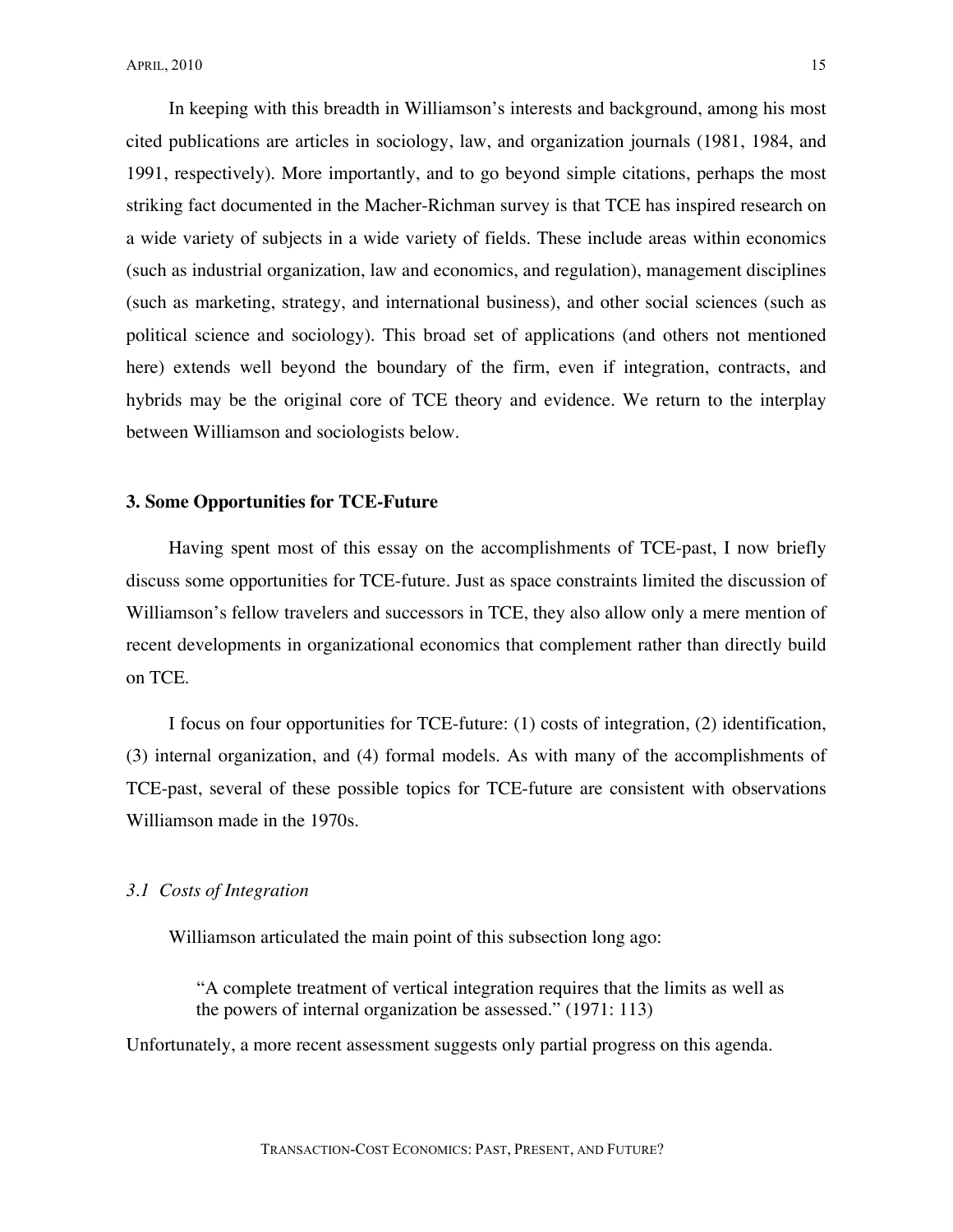In keeping with this breadth in Williamson's interests and background, among his most cited publications are articles in sociology, law, and organization journals (1981, 1984, and 1991, respectively). More importantly, and to go beyond simple citations, perhaps the most striking fact documented in the Macher-Richman survey is that TCE has inspired research on a wide variety of subjects in a wide variety of fields. These include areas within economics (such as industrial organization, law and economics, and regulation), management disciplines (such as marketing, strategy, and international business), and other social sciences (such as political science and sociology). This broad set of applications (and others not mentioned here) extends well beyond the boundary of the firm, even if integration, contracts, and hybrids may be the original core of TCE theory and evidence. We return to the interplay between Williamson and sociologists below.

#### **3. Some Opportunities for TCE-Future**

Having spent most of this essay on the accomplishments of TCE-past, I now briefly discuss some opportunities for TCE-future. Just as space constraints limited the discussion of Williamson's fellow travelers and successors in TCE, they also allow only a mere mention of recent developments in organizational economics that complement rather than directly build on TCE.

I focus on four opportunities for TCE-future: (1) costs of integration, (2) identification, (3) internal organization, and (4) formal models. As with many of the accomplishments of TCE-past, several of these possible topics for TCE-future are consistent with observations Williamson made in the 1970s.

### *3.1 Costs of Integration*

Williamson articulated the main point of this subsection long ago:

"A complete treatment of vertical integration requires that the limits as well as the powers of internal organization be assessed." (1971: 113)

Unfortunately, a more recent assessment suggests only partial progress on this agenda.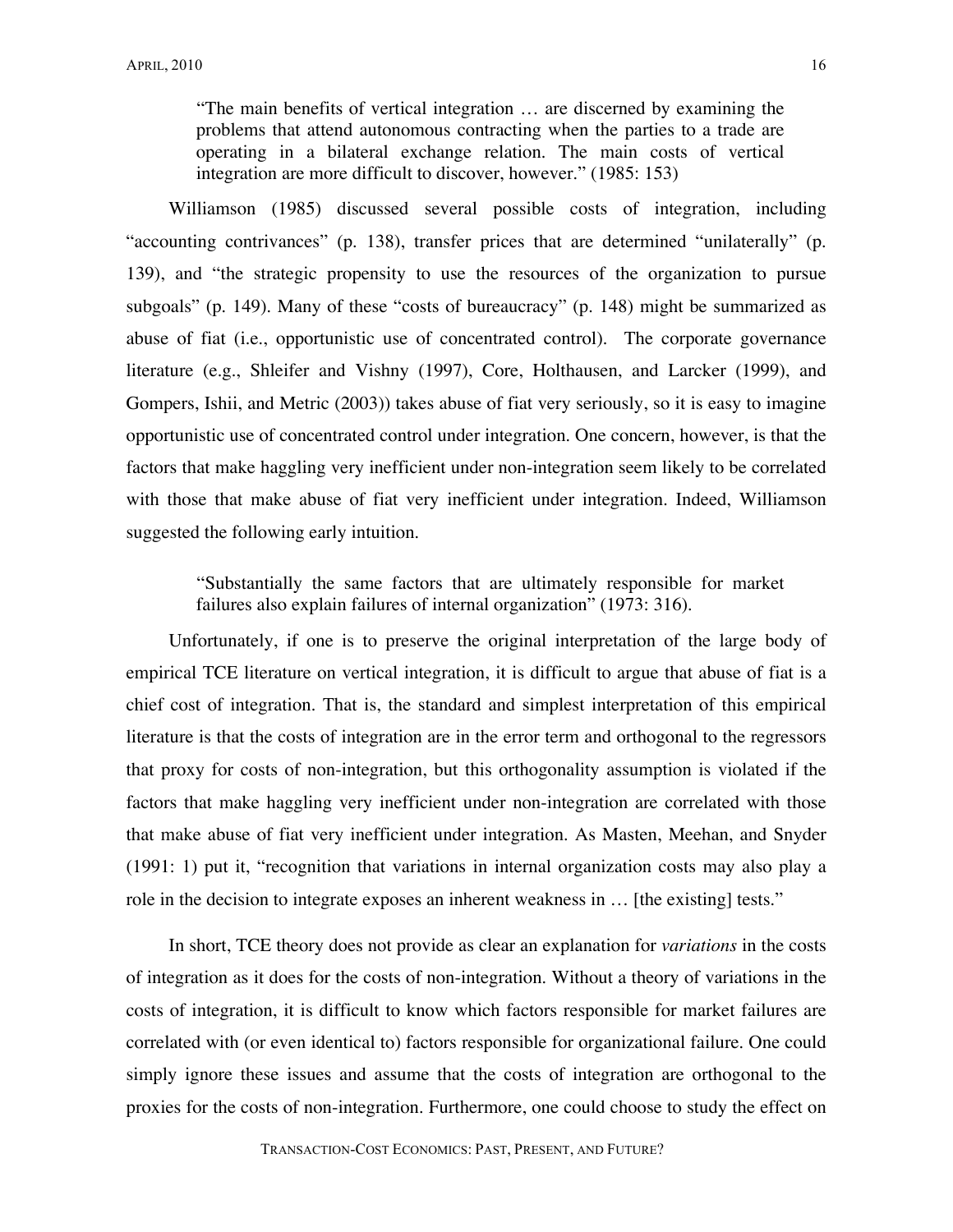"The main benefits of vertical integration … are discerned by examining the problems that attend autonomous contracting when the parties to a trade are operating in a bilateral exchange relation. The main costs of vertical integration are more difficult to discover, however." (1985: 153)

Williamson (1985) discussed several possible costs of integration, including "accounting contrivances" (p. 138), transfer prices that are determined "unilaterally" (p. 139), and "the strategic propensity to use the resources of the organization to pursue subgoals" (p. 149). Many of these "costs of bureaucracy" (p. 148) might be summarized as abuse of fiat (i.e., opportunistic use of concentrated control). The corporate governance literature (e.g., Shleifer and Vishny (1997), Core, Holthausen, and Larcker (1999), and Gompers, Ishii, and Metric (2003)) takes abuse of fiat very seriously, so it is easy to imagine opportunistic use of concentrated control under integration. One concern, however, is that the factors that make haggling very inefficient under non-integration seem likely to be correlated with those that make abuse of fiat very inefficient under integration. Indeed, Williamson suggested the following early intuition.

"Substantially the same factors that are ultimately responsible for market failures also explain failures of internal organization" (1973: 316).

Unfortunately, if one is to preserve the original interpretation of the large body of empirical TCE literature on vertical integration, it is difficult to argue that abuse of fiat is a chief cost of integration. That is, the standard and simplest interpretation of this empirical literature is that the costs of integration are in the error term and orthogonal to the regressors that proxy for costs of non-integration, but this orthogonality assumption is violated if the factors that make haggling very inefficient under non-integration are correlated with those that make abuse of fiat very inefficient under integration. As Masten, Meehan, and Snyder (1991: 1) put it, "recognition that variations in internal organization costs may also play a role in the decision to integrate exposes an inherent weakness in ... [the existing] tests."

In short, TCE theory does not provide as clear an explanation for *variations* in the costs of integration as it does for the costs of non-integration. Without a theory of variations in the costs of integration, it is difficult to know which factors responsible for market failures are correlated with (or even identical to) factors responsible for organizational failure. One could simply ignore these issues and assume that the costs of integration are orthogonal to the proxies for the costs of non-integration. Furthermore, one could choose to study the effect on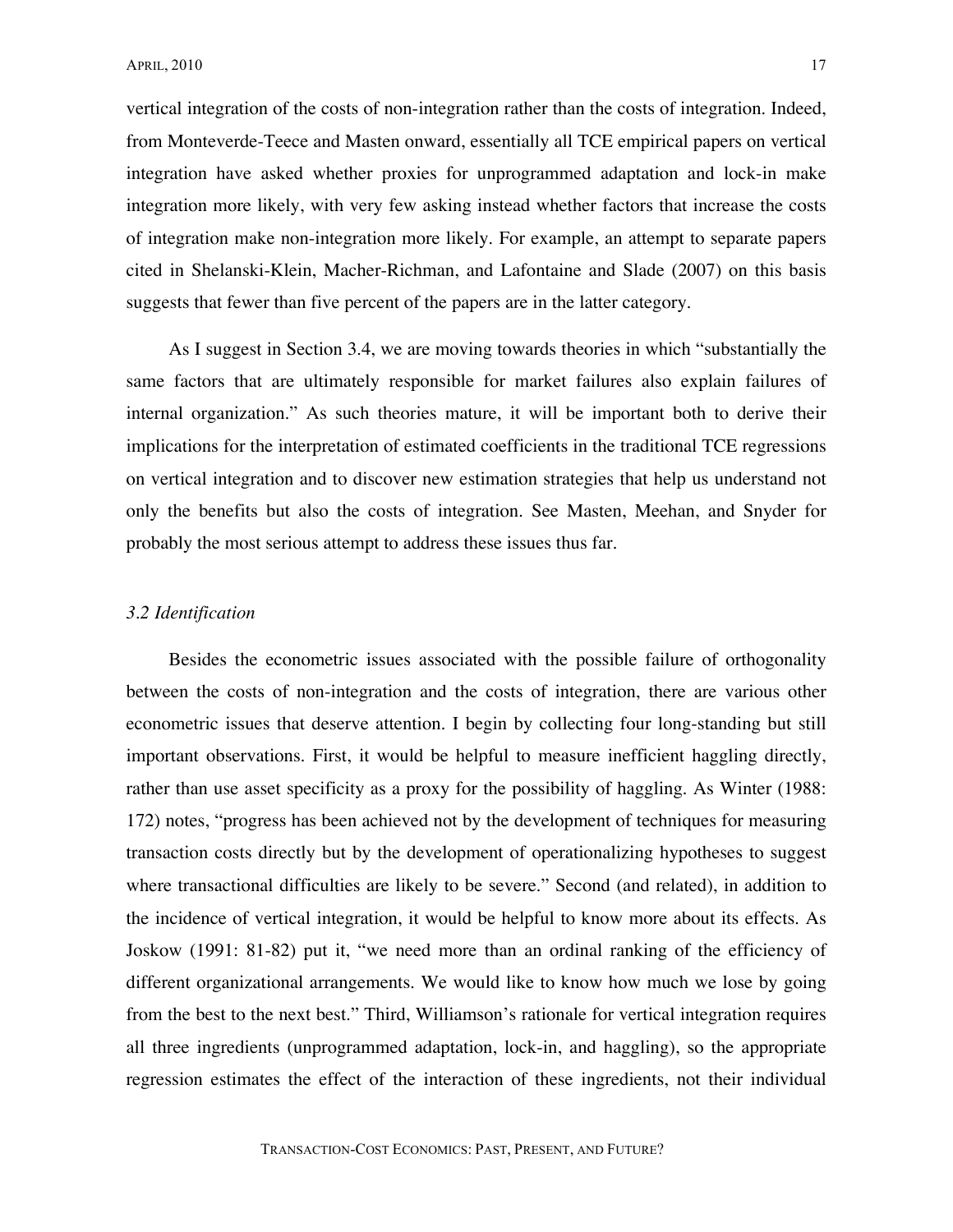vertical integration of the costs of non-integration rather than the costs of integration. Indeed, from Monteverde-Teece and Masten onward, essentially all TCE empirical papers on vertical integration have asked whether proxies for unprogrammed adaptation and lock-in make integration more likely, with very few asking instead whether factors that increase the costs of integration make non-integration more likely. For example, an attempt to separate papers cited in Shelanski-Klein, Macher-Richman, and Lafontaine and Slade (2007) on this basis suggests that fewer than five percent of the papers are in the latter category.

As I suggest in Section 3.4, we are moving towards theories in which "substantially the same factors that are ultimately responsible for market failures also explain failures of internal organization." As such theories mature, it will be important both to derive their implications for the interpretation of estimated coefficients in the traditional TCE regressions on vertical integration and to discover new estimation strategies that help us understand not only the benefits but also the costs of integration. See Masten, Meehan, and Snyder for probably the most serious attempt to address these issues thus far.

#### *3.2 Identification*

Besides the econometric issues associated with the possible failure of orthogonality between the costs of non-integration and the costs of integration, there are various other econometric issues that deserve attention. I begin by collecting four long-standing but still important observations. First, it would be helpful to measure inefficient haggling directly, rather than use asset specificity as a proxy for the possibility of haggling. As Winter (1988: 172) notes, "progress has been achieved not by the development of techniques for measuring transaction costs directly but by the development of operationalizing hypotheses to suggest where transactional difficulties are likely to be severe." Second (and related), in addition to the incidence of vertical integration, it would be helpful to know more about its effects. As Joskow (1991: 81-82) put it, "we need more than an ordinal ranking of the efficiency of different organizational arrangements. We would like to know how much we lose by going from the best to the next best." Third, Williamson's rationale for vertical integration requires all three ingredients (unprogrammed adaptation, lock-in, and haggling), so the appropriate regression estimates the effect of the interaction of these ingredients, not their individual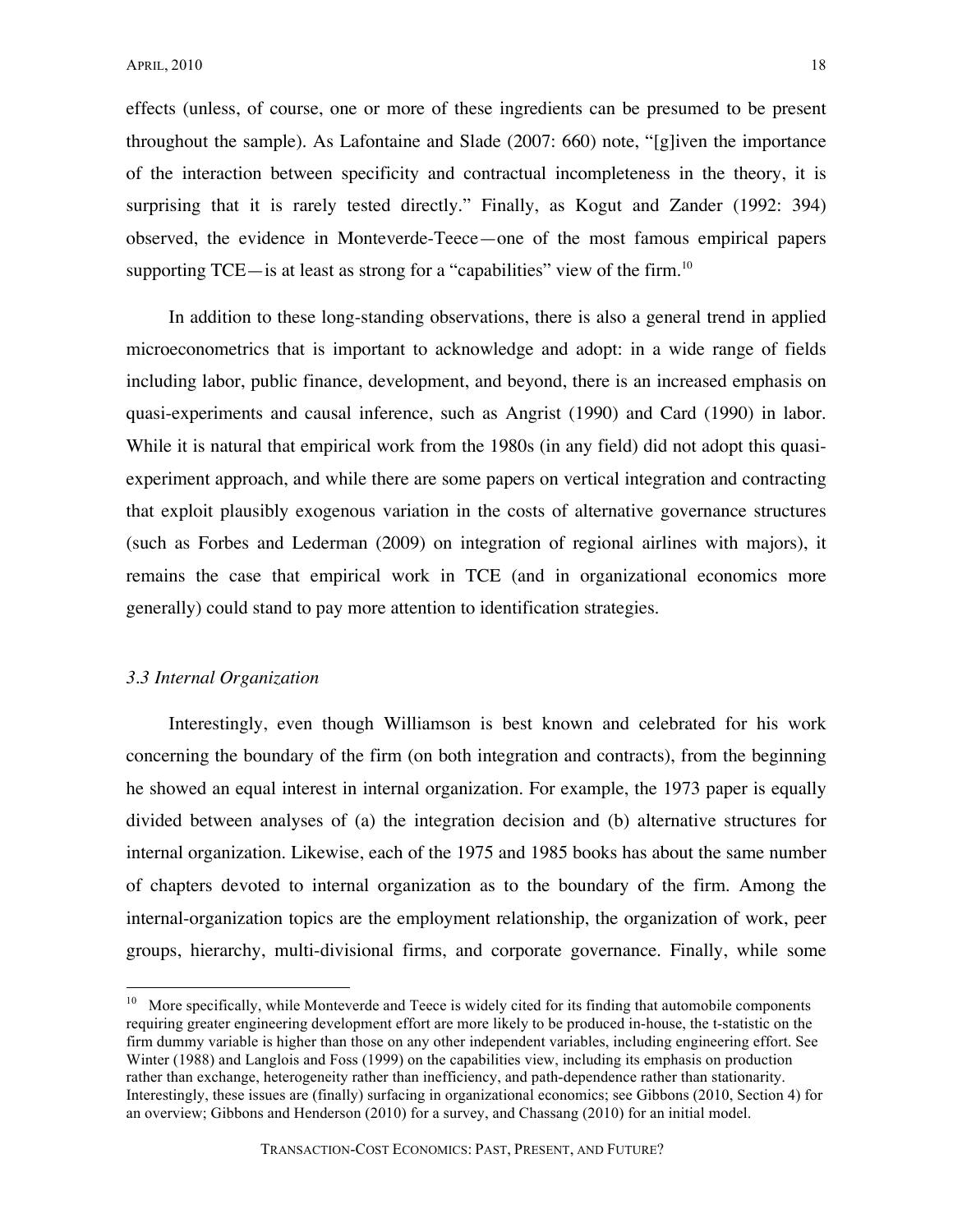effects (unless, of course, one or more of these ingredients can be presumed to be present throughout the sample). As Lafontaine and Slade (2007: 660) note, "[g]iven the importance of the interaction between specificity and contractual incompleteness in the theory, it is surprising that it is rarely tested directly." Finally, as Kogut and Zander (1992: 394) observed, the evidence in Monteverde-Teece—one of the most famous empirical papers supporting TCE—is at least as strong for a "capabilities" view of the firm.<sup>10</sup>

In addition to these long-standing observations, there is also a general trend in applied microeconometrics that is important to acknowledge and adopt: in a wide range of fields including labor, public finance, development, and beyond, there is an increased emphasis on quasi-experiments and causal inference, such as Angrist (1990) and Card (1990) in labor. While it is natural that empirical work from the 1980s (in any field) did not adopt this quasiexperiment approach, and while there are some papers on vertical integration and contracting that exploit plausibly exogenous variation in the costs of alternative governance structures (such as Forbes and Lederman (2009) on integration of regional airlines with majors), it remains the case that empirical work in TCE (and in organizational economics more generally) could stand to pay more attention to identification strategies.

# *3.3 Internal Organization*

Interestingly, even though Williamson is best known and celebrated for his work concerning the boundary of the firm (on both integration and contracts), from the beginning he showed an equal interest in internal organization. For example, the 1973 paper is equally divided between analyses of (a) the integration decision and (b) alternative structures for internal organization. Likewise, each of the 1975 and 1985 books has about the same number of chapters devoted to internal organization as to the boundary of the firm. Among the internal-organization topics are the employment relationship, the organization of work, peer groups, hierarchy, multi-divisional firms, and corporate governance. Finally, while some

<sup>&</sup>lt;sup>10</sup> More specifically, while Monteverde and Teece is widely cited for its finding that automobile components requiring greater engineering development effort are more likely to be produced in-house, the t-statistic on the firm dummy variable is higher than those on any other independent variables, including engineering effort. See Winter (1988) and Langlois and Foss (1999) on the capabilities view, including its emphasis on production rather than exchange, heterogeneity rather than inefficiency, and path-dependence rather than stationarity. Interestingly, these issues are (finally) surfacing in organizational economics; see Gibbons (2010, Section 4) for an overview; Gibbons and Henderson (2010) for a survey, and Chassang (2010) for an initial model.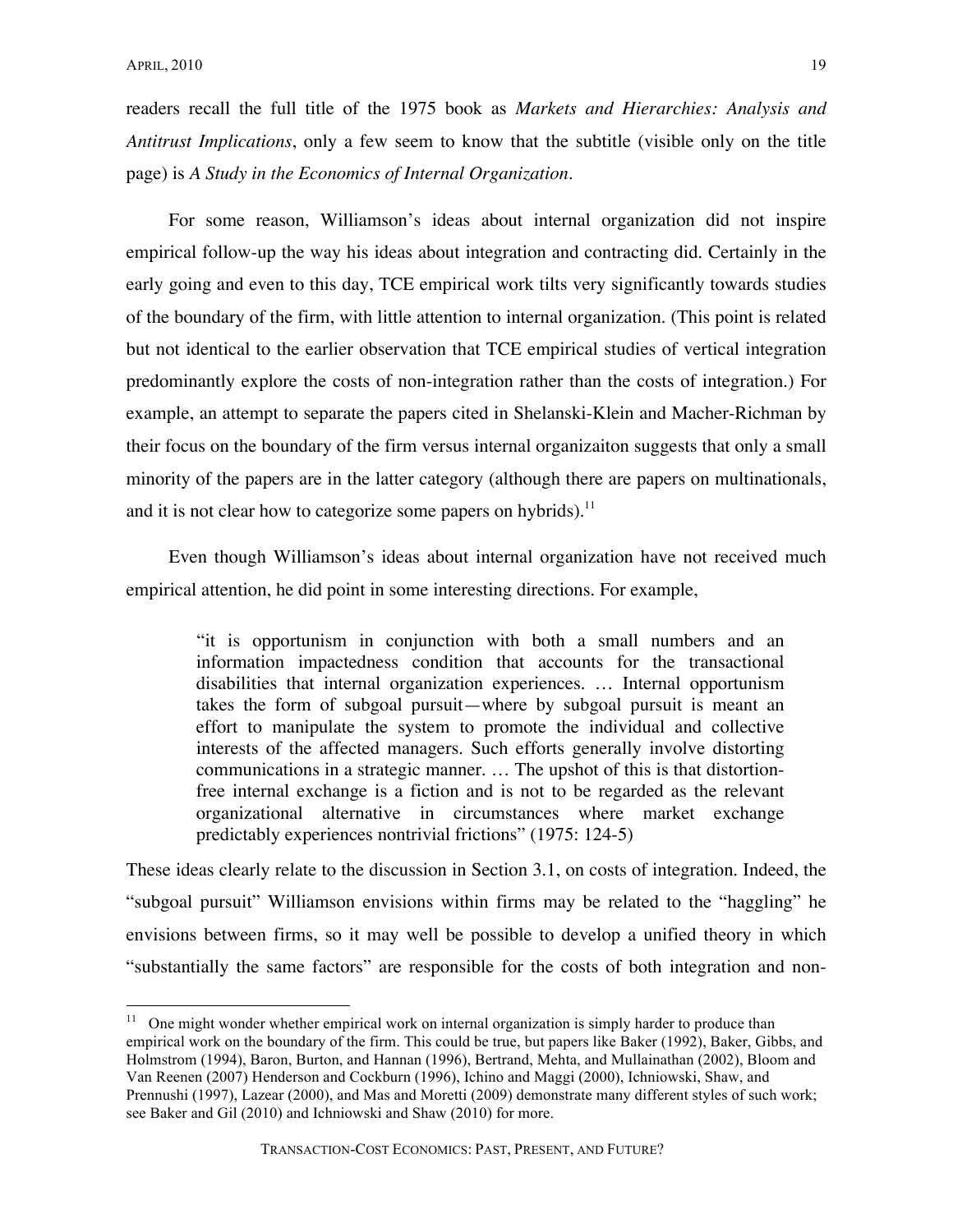readers recall the full title of the 1975 book as *Markets and Hierarchies: Analysis and Antitrust Implications*, only a few seem to know that the subtitle (visible only on the title page) is *A Study in the Economics of Internal Organization*.

For some reason, Williamson's ideas about internal organization did not inspire empirical follow-up the way his ideas about integration and contracting did. Certainly in the early going and even to this day, TCE empirical work tilts very significantly towards studies of the boundary of the firm, with little attention to internal organization. (This point is related but not identical to the earlier observation that TCE empirical studies of vertical integration predominantly explore the costs of non-integration rather than the costs of integration.) For example, an attempt to separate the papers cited in Shelanski-Klein and Macher-Richman by their focus on the boundary of the firm versus internal organizaiton suggests that only a small minority of the papers are in the latter category (although there are papers on multinationals, and it is not clear how to categorize some papers on hybrids).<sup>11</sup>

Even though Williamson's ideas about internal organization have not received much empirical attention, he did point in some interesting directions. For example,

"it is opportunism in conjunction with both a small numbers and an information impactedness condition that accounts for the transactional disabilities that internal organization experiences. … Internal opportunism takes the form of subgoal pursuit—where by subgoal pursuit is meant an effort to manipulate the system to promote the individual and collective interests of the affected managers. Such efforts generally involve distorting communications in a strategic manner. … The upshot of this is that distortionfree internal exchange is a fiction and is not to be regarded as the relevant organizational alternative in circumstances where market exchange predictably experiences nontrivial frictions" (1975: 124-5)

These ideas clearly relate to the discussion in Section 3.1, on costs of integration. Indeed, the "subgoal pursuit" Williamson envisions within firms may be related to the "haggling" he envisions between firms, so it may well be possible to develop a unified theory in which "substantially the same factors" are responsible for the costs of both integration and non-

 $11$  One might wonder whether empirical work on internal organization is simply harder to produce than empirical work on the boundary of the firm. This could be true, but papers like Baker (1992), Baker, Gibbs, and Holmstrom (1994), Baron, Burton, and Hannan (1996), Bertrand, Mehta, and Mullainathan (2002), Bloom and Van Reenen (2007) Henderson and Cockburn (1996), Ichino and Maggi (2000), Ichniowski, Shaw, and Prennushi (1997), Lazear (2000), and Mas and Moretti (2009) demonstrate many different styles of such work; see Baker and Gil (2010) and Ichniowski and Shaw (2010) for more.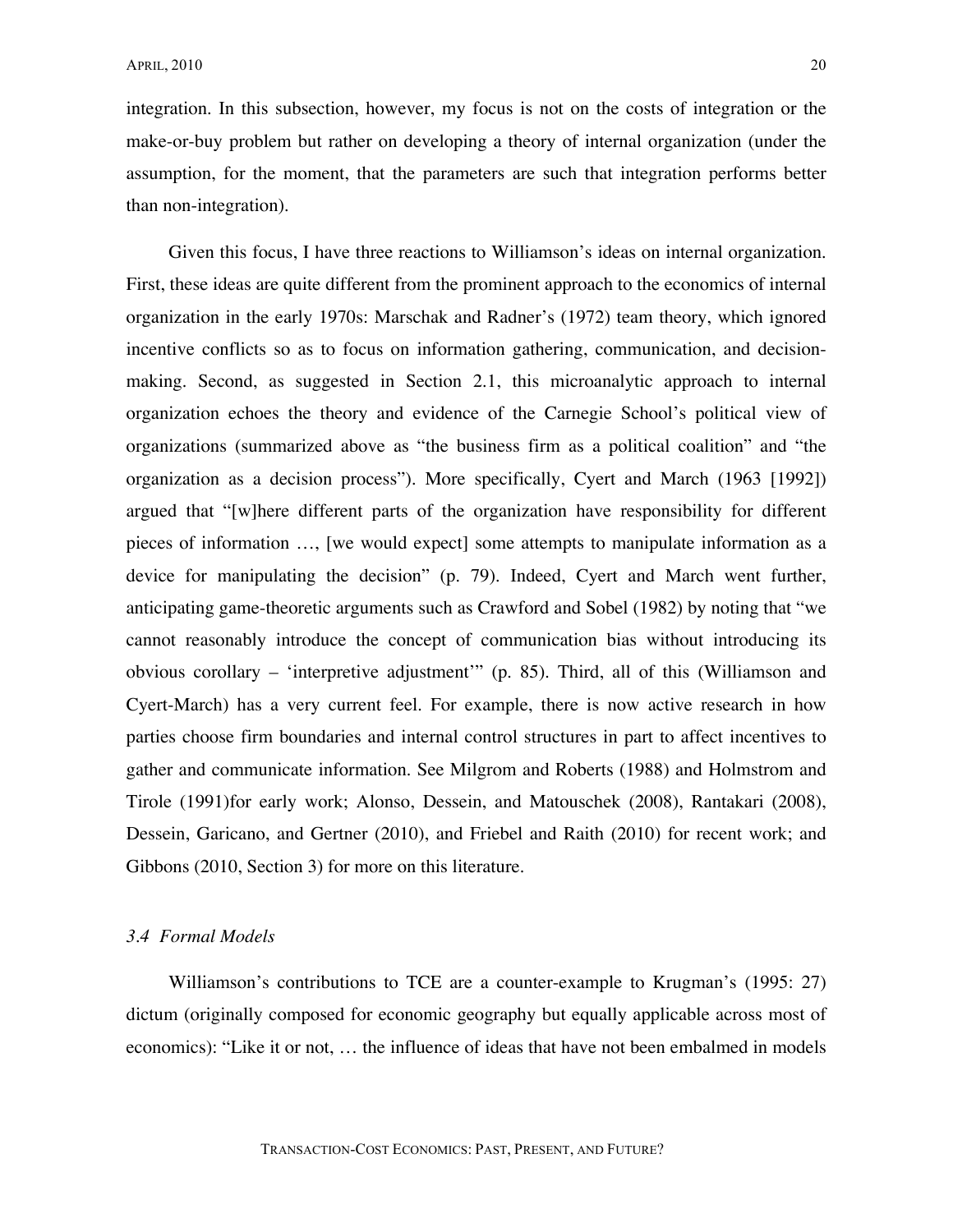integration. In this subsection, however, my focus is not on the costs of integration or the make-or-buy problem but rather on developing a theory of internal organization (under the assumption, for the moment, that the parameters are such that integration performs better than non-integration).

Given this focus, I have three reactions to Williamson's ideas on internal organization. First, these ideas are quite different from the prominent approach to the economics of internal organization in the early 1970s: Marschak and Radner's (1972) team theory, which ignored incentive conflicts so as to focus on information gathering, communication, and decisionmaking. Second, as suggested in Section 2.1, this microanalytic approach to internal organization echoes the theory and evidence of the Carnegie School's political view of organizations (summarized above as "the business firm as a political coalition" and "the organization as a decision process"). More specifically, Cyert and March (1963 [1992]) argued that "[w]here different parts of the organization have responsibility for different pieces of information …, [we would expect] some attempts to manipulate information as a device for manipulating the decision" (p. 79). Indeed, Cyert and March went further, anticipating game-theoretic arguments such as Crawford and Sobel (1982) by noting that "we cannot reasonably introduce the concept of communication bias without introducing its obvious corollary – 'interpretive adjustment'" (p. 85). Third, all of this (Williamson and Cyert-March) has a very current feel. For example, there is now active research in how parties choose firm boundaries and internal control structures in part to affect incentives to gather and communicate information. See Milgrom and Roberts (1988) and Holmstrom and Tirole (1991)for early work; Alonso, Dessein, and Matouschek (2008), Rantakari (2008), Dessein, Garicano, and Gertner (2010), and Friebel and Raith (2010) for recent work; and Gibbons (2010, Section 3) for more on this literature.

#### *3.4 Formal Models*

Williamson's contributions to TCE are a counter-example to Krugman's (1995: 27) dictum (originally composed for economic geography but equally applicable across most of economics): "Like it or not, … the influence of ideas that have not been embalmed in models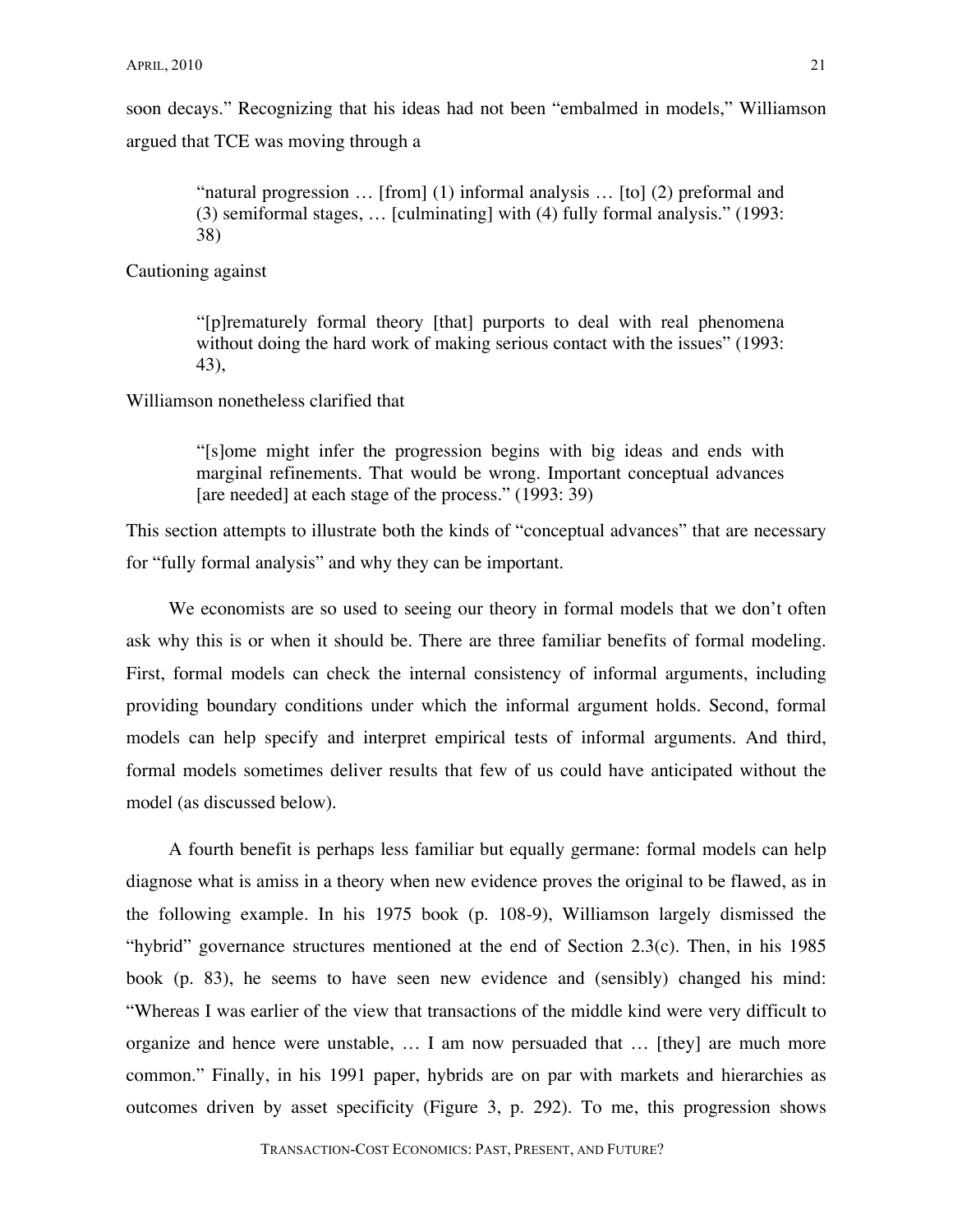soon decays." Recognizing that his ideas had not been "embalmed in models," Williamson argued that TCE was moving through a

> "natural progression … [from] (1) informal analysis … [to] (2) preformal and (3) semiformal stages, … [culminating] with (4) fully formal analysis." (1993: 38)

Cautioning against

"[p]rematurely formal theory [that] purports to deal with real phenomena without doing the hard work of making serious contact with the issues" (1993: 43),

Williamson nonetheless clarified that

"[s]ome might infer the progression begins with big ideas and ends with marginal refinements. That would be wrong. Important conceptual advances [are needed] at each stage of the process." (1993: 39)

This section attempts to illustrate both the kinds of "conceptual advances" that are necessary for "fully formal analysis" and why they can be important.

We economists are so used to seeing our theory in formal models that we don't often ask why this is or when it should be. There are three familiar benefits of formal modeling. First, formal models can check the internal consistency of informal arguments, including providing boundary conditions under which the informal argument holds. Second, formal models can help specify and interpret empirical tests of informal arguments. And third, formal models sometimes deliver results that few of us could have anticipated without the model (as discussed below).

A fourth benefit is perhaps less familiar but equally germane: formal models can help diagnose what is amiss in a theory when new evidence proves the original to be flawed, as in the following example. In his 1975 book (p. 108-9), Williamson largely dismissed the "hybrid" governance structures mentioned at the end of Section  $2.3(c)$ . Then, in his 1985 book (p. 83), he seems to have seen new evidence and (sensibly) changed his mind: "Whereas I was earlier of the view that transactions of the middle kind were very difficult to organize and hence were unstable, … I am now persuaded that … [they] are much more common." Finally, in his 1991 paper, hybrids are on par with markets and hierarchies as outcomes driven by asset specificity (Figure 3, p. 292). To me, this progression shows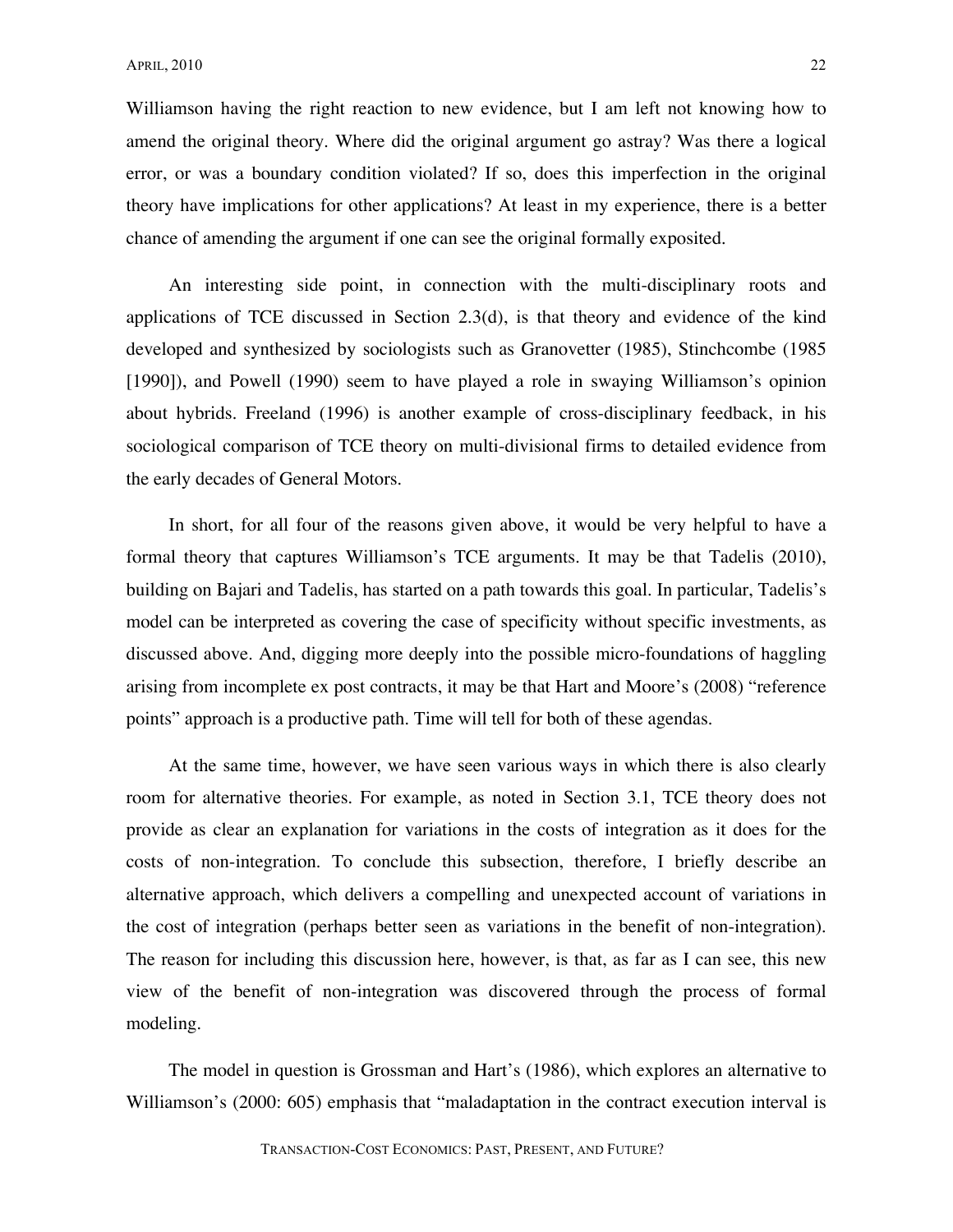Williamson having the right reaction to new evidence, but I am left not knowing how to amend the original theory. Where did the original argument go astray? Was there a logical error, or was a boundary condition violated? If so, does this imperfection in the original theory have implications for other applications? At least in my experience, there is a better chance of amending the argument if one can see the original formally exposited.

An interesting side point, in connection with the multi-disciplinary roots and applications of TCE discussed in Section 2.3(d), is that theory and evidence of the kind developed and synthesized by sociologists such as Granovetter (1985), Stinchcombe (1985 [1990]), and Powell (1990) seem to have played a role in swaying Williamson's opinion about hybrids. Freeland (1996) is another example of cross-disciplinary feedback, in his sociological comparison of TCE theory on multi-divisional firms to detailed evidence from the early decades of General Motors.

In short, for all four of the reasons given above, it would be very helpful to have a formal theory that captures Williamson's TCE arguments. It may be that Tadelis (2010), building on Bajari and Tadelis, has started on a path towards this goal. In particular, Tadelis's model can be interpreted as covering the case of specificity without specific investments, as discussed above. And, digging more deeply into the possible micro-foundations of haggling arising from incomplete ex post contracts, it may be that Hart and Moore's (2008) "reference points" approach is a productive path. Time will tell for both of these agendas.

At the same time, however, we have seen various ways in which there is also clearly room for alternative theories. For example, as noted in Section 3.1, TCE theory does not provide as clear an explanation for variations in the costs of integration as it does for the costs of non-integration. To conclude this subsection, therefore, I briefly describe an alternative approach, which delivers a compelling and unexpected account of variations in the cost of integration (perhaps better seen as variations in the benefit of non-integration). The reason for including this discussion here, however, is that, as far as I can see, this new view of the benefit of non-integration was discovered through the process of formal modeling.

The model in question is Grossman and Hart's (1986), which explores an alternative to Williamson's (2000: 605) emphasis that "maladaptation in the contract execution interval is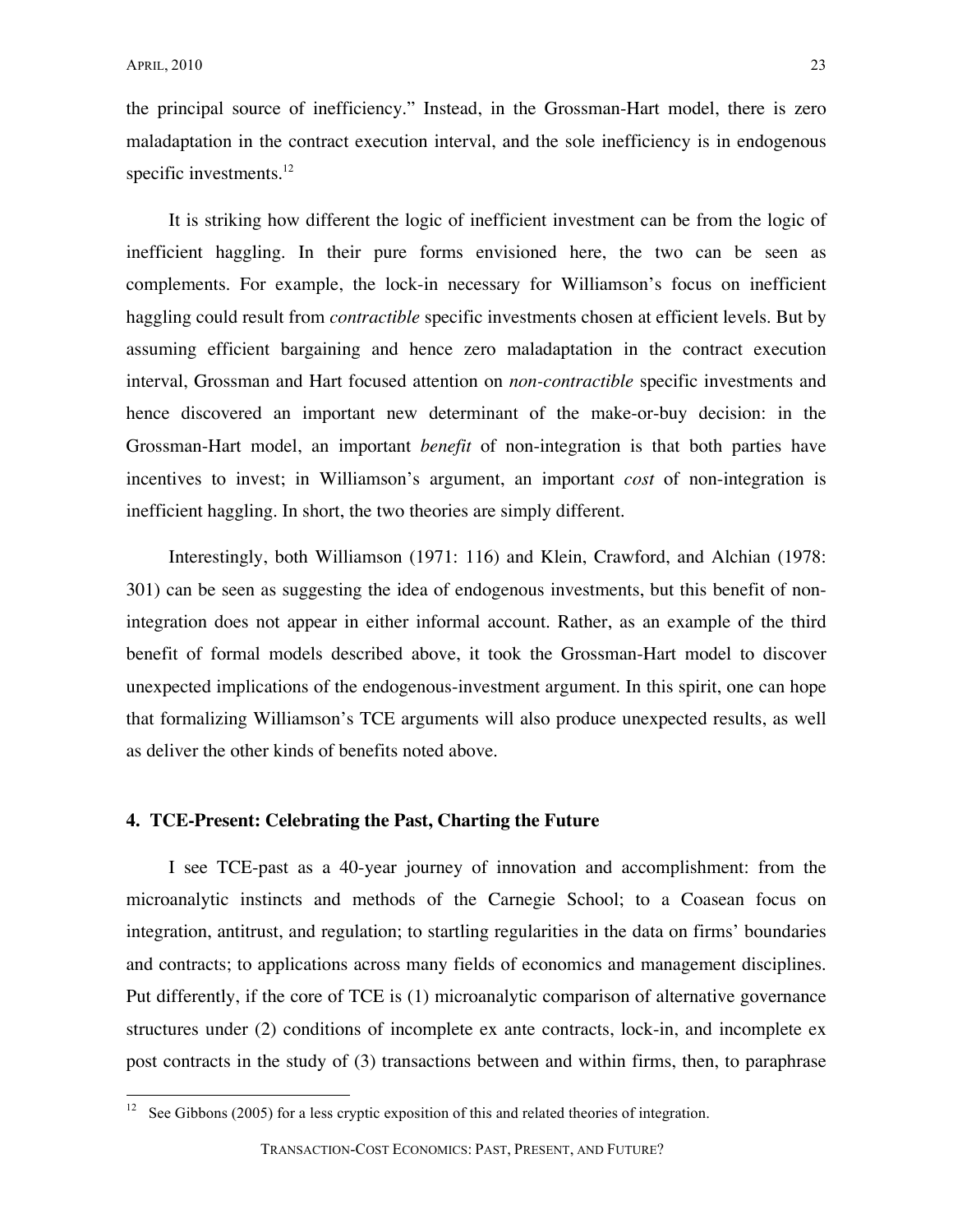the principal source of inefficiency." Instead, in the Grossman-Hart model, there is zero maladaptation in the contract execution interval, and the sole inefficiency is in endogenous specific investments. $^{12}$ 

It is striking how different the logic of inefficient investment can be from the logic of inefficient haggling. In their pure forms envisioned here, the two can be seen as complements. For example, the lock-in necessary for Williamson's focus on inefficient haggling could result from *contractible* specific investments chosen at efficient levels. But by assuming efficient bargaining and hence zero maladaptation in the contract execution interval, Grossman and Hart focused attention on *non-contractible* specific investments and hence discovered an important new determinant of the make-or-buy decision: in the Grossman-Hart model, an important *benefit* of non-integration is that both parties have incentives to invest; in Williamson's argument, an important *cost* of non-integration is inefficient haggling. In short, the two theories are simply different.

Interestingly, both Williamson (1971: 116) and Klein, Crawford, and Alchian (1978: 301) can be seen as suggesting the idea of endogenous investments, but this benefit of nonintegration does not appear in either informal account. Rather, as an example of the third benefit of formal models described above, it took the Grossman-Hart model to discover unexpected implications of the endogenous-investment argument. In this spirit, one can hope that formalizing Williamson's TCE arguments will also produce unexpected results, as well as deliver the other kinds of benefits noted above.

#### **4. TCE-Present: Celebrating the Past, Charting the Future**

I see TCE-past as a 40-year journey of innovation and accomplishment: from the microanalytic instincts and methods of the Carnegie School; to a Coasean focus on integration, antitrust, and regulation; to startling regularities in the data on firms' boundaries and contracts; to applications across many fields of economics and management disciplines. Put differently, if the core of TCE is (1) microanalytic comparison of alternative governance structures under (2) conditions of incomplete ex ante contracts, lock-in, and incomplete ex post contracts in the study of (3) transactions between and within firms, then, to paraphrase

See Gibbons (2005) for a less cryptic exposition of this and related theories of integration.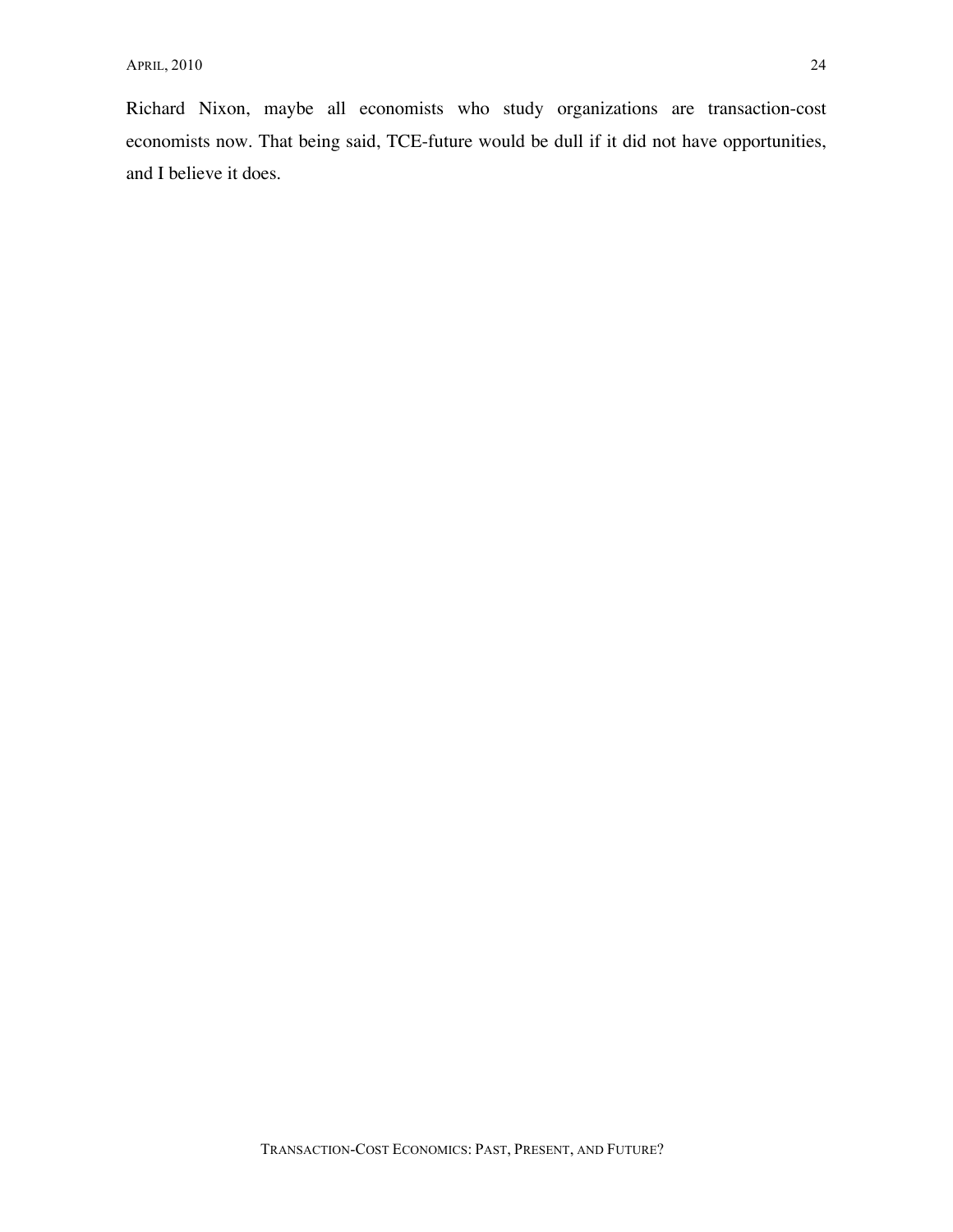Richard Nixon, maybe all economists who study organizations are transaction-cost economists now. That being said, TCE-future would be dull if it did not have opportunities, and I believe it does.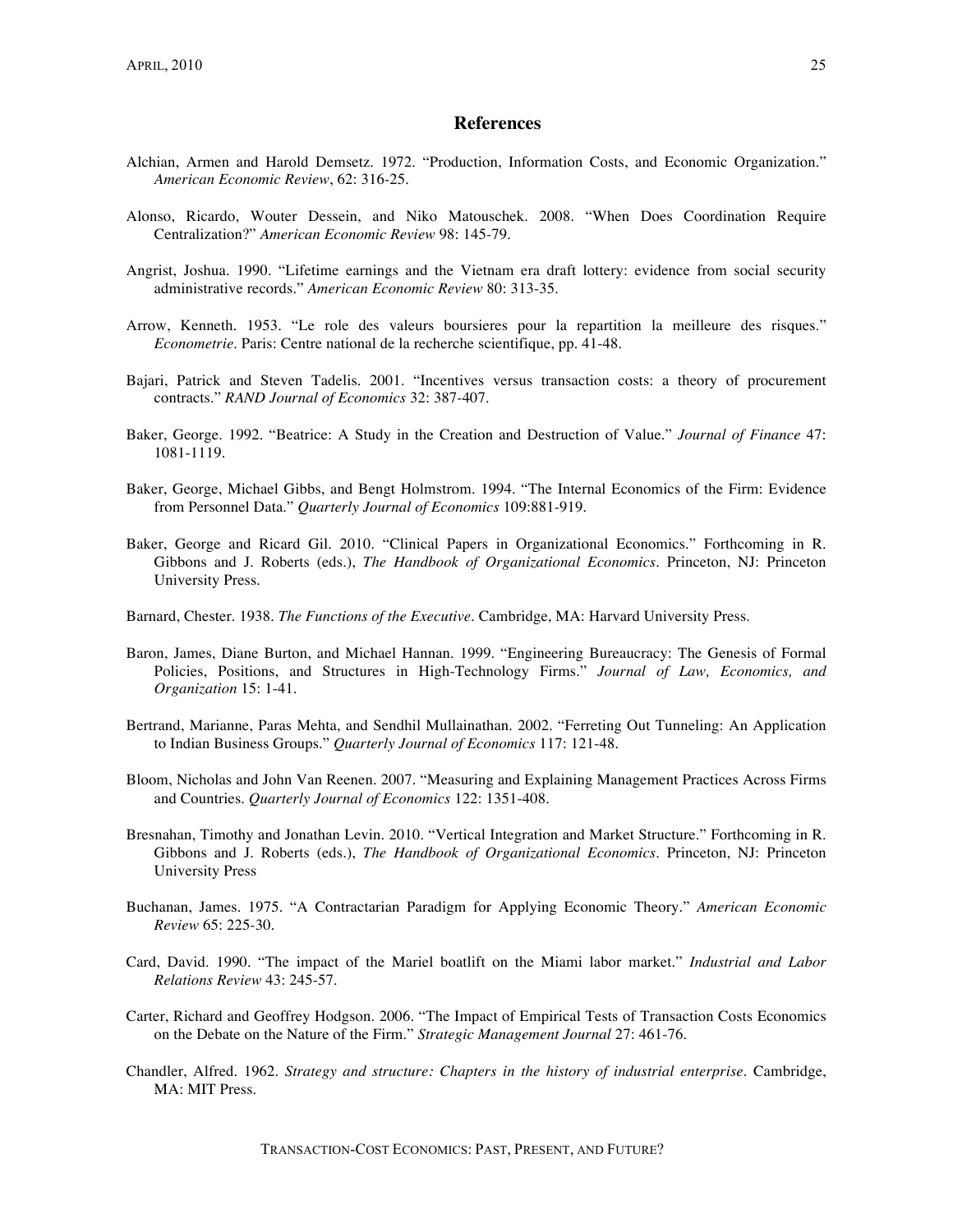#### **References**

- Alchian, Armen and Harold Demsetz. 1972. "Production, Information Costs, and Economic Organization." *American Economic Review*, 62: 316-25.
- Alonso, Ricardo, Wouter Dessein, and Niko Matouschek. 2008. "When Does Coordination Require Centralization?" *American Economic Review* 98: 145-79.
- Angrist, Joshua. 1990. "Lifetime earnings and the Vietnam era draft lottery: evidence from social security administrative records." *American Economic Review* 80: 313-35.
- Arrow, Kenneth. 1953. "Le role des valeurs boursieres pour la repartition la meilleure des risques." *Econometrie*. Paris: Centre national de la recherche scientifique, pp. 41-48.
- Bajari, Patrick and Steven Tadelis. 2001. "Incentives versus transaction costs: a theory of procurement contracts." *RAND Journal of Economics* 32: 387-407.
- Baker, George. 1992. "Beatrice: A Study in the Creation and Destruction of Value." *Journal of Finance* 47: 1081-1119.
- Baker, George, Michael Gibbs, and Bengt Holmstrom. 1994. "The Internal Economics of the Firm: Evidence from Personnel Data." *Quarterly Journal of Economics* 109:881-919.
- Baker, George and Ricard Gil. 2010. "Clinical Papers in Organizational Economics." Forthcoming in R. Gibbons and J. Roberts (eds.), *The Handbook of Organizational Economics*. Princeton, NJ: Princeton University Press.
- Barnard, Chester. 1938. *The Functions of the Executive*. Cambridge, MA: Harvard University Press.
- Baron, James, Diane Burton, and Michael Hannan. 1999. "Engineering Bureaucracy: The Genesis of Formal Policies, Positions, and Structures in High-Technology Firms." *Journal of Law, Economics, and Organization* 15: 1-41.
- Bertrand, Marianne, Paras Mehta, and Sendhil Mullainathan. 2002. "Ferreting Out Tunneling: An Application to Indian Business Groups." *Quarterly Journal of Economics* 117: 121-48.
- Bloom, Nicholas and John Van Reenen. 2007. "Measuring and Explaining Management Practices Across Firms and Countries. *Quarterly Journal of Economics* 122: 1351-408.
- Bresnahan, Timothy and Jonathan Levin. 2010. "Vertical Integration and Market Structure." Forthcoming in R. Gibbons and J. Roberts (eds.), *The Handbook of Organizational Economics*. Princeton, NJ: Princeton University Press
- Buchanan, James. 1975. "A Contractarian Paradigm for Applying Economic Theory." *American Economic Review* 65: 225-30.
- Card, David. 1990. "The impact of the Mariel boatlift on the Miami labor market." *Industrial and Labor Relations Review* 43: 245-57.
- Carter, Richard and Geoffrey Hodgson. 2006. "The Impact of Empirical Tests of Transaction Costs Economics on the Debate on the Nature of the Firm." *Strategic Management Journal* 27: 461-76.
- Chandler, Alfred. 1962. *Strategy and structure: Chapters in the history of industrial enterprise*. Cambridge, MA: MIT Press.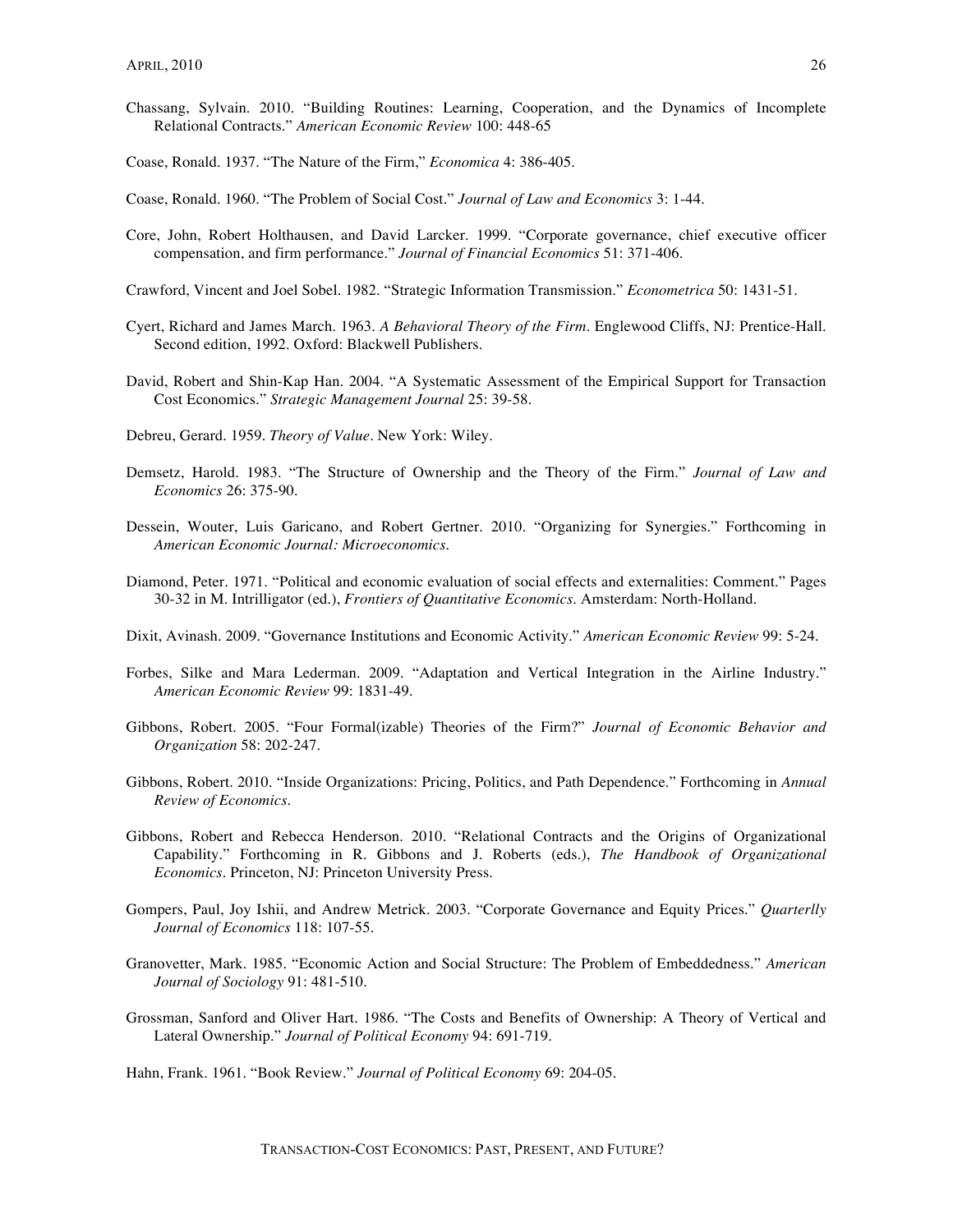- Chassang, Sylvain. 2010. "Building Routines: Learning, Cooperation, and the Dynamics of Incomplete Relational Contracts." *American Economic Review* 100: 448-65
- Coase, Ronald. 1937. "The Nature of the Firm," *Economica* 4: 386-405.
- Coase, Ronald. 1960. "The Problem of Social Cost." *Journal of Law and Economics* 3: 1-44.
- Core, John, Robert Holthausen, and David Larcker. 1999. "Corporate governance, chief executive officer compensation, and firm performance." *Journal of Financial Economics* 51: 371-406.
- Crawford, Vincent and Joel Sobel. 1982. "Strategic Information Transmission." *Econometrica* 50: 1431-51.
- Cyert, Richard and James March. 1963. *A Behavioral Theory of the Firm*. Englewood Cliffs, NJ: Prentice-Hall. Second edition, 1992. Oxford: Blackwell Publishers.
- David, Robert and Shin-Kap Han. 2004. "A Systematic Assessment of the Empirical Support for Transaction Cost Economics." *Strategic Management Journal* 25: 39-58.
- Debreu, Gerard. 1959. *Theory of Value*. New York: Wiley.
- Demsetz, Harold. 1983. "The Structure of Ownership and the Theory of the Firm." *Journal of Law and Economics* 26: 375-90.
- Dessein, Wouter, Luis Garicano, and Robert Gertner. 2010. "Organizing for Synergies." Forthcoming in *American Economic Journal: Microeconomics*.
- Diamond, Peter. 1971. "Political and economic evaluation of social effects and externalities: Comment." Pages 30-32 in M. Intrilligator (ed.), *Frontiers of Quantitative Economics*. Amsterdam: North-Holland.
- Dixit, Avinash. 2009. "Governance Institutions and Economic Activity." *American Economic Review* 99: 5-24.
- Forbes, Silke and Mara Lederman. 2009. "Adaptation and Vertical Integration in the Airline Industry." *American Economic Review* 99: 1831-49.
- Gibbons, Robert. 2005. "Four Formal(izable) Theories of the Firm?" *Journal of Economic Behavior and Organization* 58: 202-247.
- Gibbons, Robert. 2010. "Inside Organizations: Pricing, Politics, and Path Dependence." Forthcoming in *Annual Review of Economics*.
- Gibbons, Robert and Rebecca Henderson. 2010. "Relational Contracts and the Origins of Organizational Capability." Forthcoming in R. Gibbons and J. Roberts (eds.), *The Handbook of Organizational Economics*. Princeton, NJ: Princeton University Press.
- Gompers, Paul, Joy Ishii, and Andrew Metrick. 2003. "Corporate Governance and Equity Prices." *Quarterlly Journal of Economics* 118: 107-55.
- Granovetter, Mark. 1985. "Economic Action and Social Structure: The Problem of Embeddedness." *American Journal of Sociology* 91: 481-510.
- Grossman, Sanford and Oliver Hart. 1986. "The Costs and Benefits of Ownership: A Theory of Vertical and Lateral Ownership." *Journal of Political Economy* 94: 691-719.

Hahn, Frank. 1961. "Book Review." *Journal of Political Economy* 69: 204-05.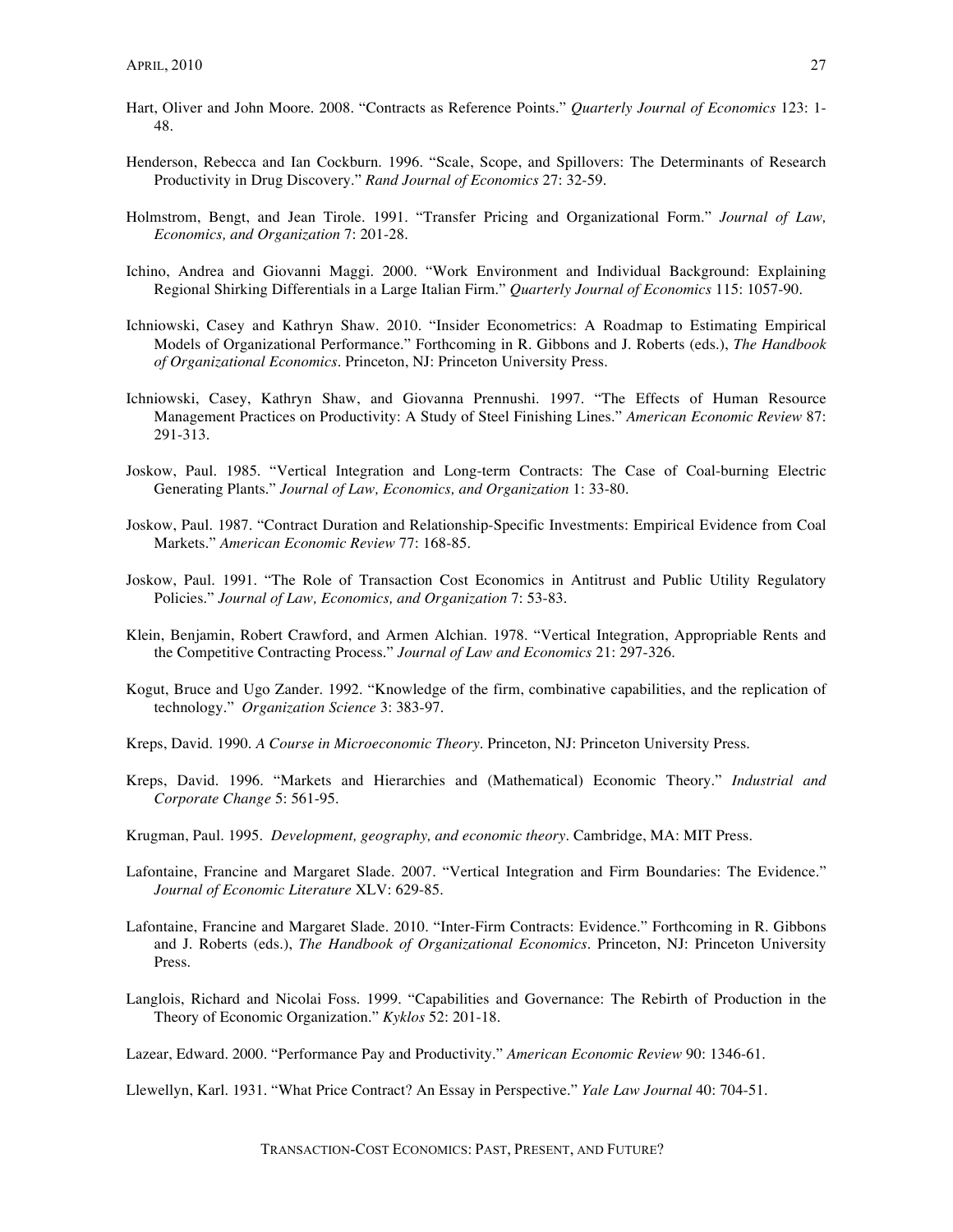- Hart, Oliver and John Moore. 2008. "Contracts as Reference Points." *Quarterly Journal of Economics* 123: 1- 48.
- Henderson, Rebecca and Ian Cockburn. 1996. "Scale, Scope, and Spillovers: The Determinants of Research Productivity in Drug Discovery." *Rand Journal of Economics* 27: 32-59.
- Holmstrom, Bengt, and Jean Tirole. 1991. "Transfer Pricing and Organizational Form." *Journal of Law, Economics, and Organization* 7: 201-28.
- Ichino, Andrea and Giovanni Maggi. 2000. "Work Environment and Individual Background: Explaining Regional Shirking Differentials in a Large Italian Firm." *Quarterly Journal of Economics* 115: 1057-90.
- Ichniowski, Casey and Kathryn Shaw. 2010. "Insider Econometrics: A Roadmap to Estimating Empirical Models of Organizational Performance." Forthcoming in R. Gibbons and J. Roberts (eds.), *The Handbook of Organizational Economics*. Princeton, NJ: Princeton University Press.
- Ichniowski, Casey, Kathryn Shaw, and Giovanna Prennushi. 1997. "The Effects of Human Resource Management Practices on Productivity: A Study of Steel Finishing Lines." *American Economic Review* 87: 291-313.
- Joskow, Paul. 1985. "Vertical Integration and Long-term Contracts: The Case of Coal-burning Electric Generating Plants." *Journal of Law, Economics, and Organization* 1: 33-80.
- Joskow, Paul. 1987. "Contract Duration and Relationship-Specific Investments: Empirical Evidence from Coal Markets." *American Economic Review* 77: 168-85.
- Joskow, Paul. 1991. "The Role of Transaction Cost Economics in Antitrust and Public Utility Regulatory Policies." *Journal of Law, Economics, and Organization* 7: 53-83.
- Klein, Benjamin, Robert Crawford, and Armen Alchian. 1978. "Vertical Integration, Appropriable Rents and the Competitive Contracting Process." *Journal of Law and Economics* 21: 297-326.
- Kogut, Bruce and Ugo Zander. 1992. "Knowledge of the firm, combinative capabilities, and the replication of technology." *Organization Science* 3: 383-97.
- Kreps, David. 1990. *A Course in Microeconomic Theory*. Princeton, NJ: Princeton University Press.
- Kreps, David. 1996. "Markets and Hierarchies and (Mathematical) Economic Theory." *Industrial and Corporate Change* 5: 561-95.
- Krugman, Paul. 1995. *Development, geography, and economic theory*. Cambridge, MA: MIT Press.
- Lafontaine, Francine and Margaret Slade. 2007. "Vertical Integration and Firm Boundaries: The Evidence." *Journal of Economic Literature* XLV: 629-85.
- Lafontaine, Francine and Margaret Slade. 2010. "Inter-Firm Contracts: Evidence." Forthcoming in R. Gibbons and J. Roberts (eds.), *The Handbook of Organizational Economics*. Princeton, NJ: Princeton University Press.
- Langlois, Richard and Nicolai Foss. 1999. "Capabilities and Governance: The Rebirth of Production in the Theory of Economic Organization." *Kyklos* 52: 201-18.

Llewellyn, Karl. 1931. "What Price Contract? An Essay in Perspective." *Yale Law Journal* 40: 704-51.

Lazear, Edward. 2000. "Performance Pay and Productivity." *American Economic Review* 90: 1346-61.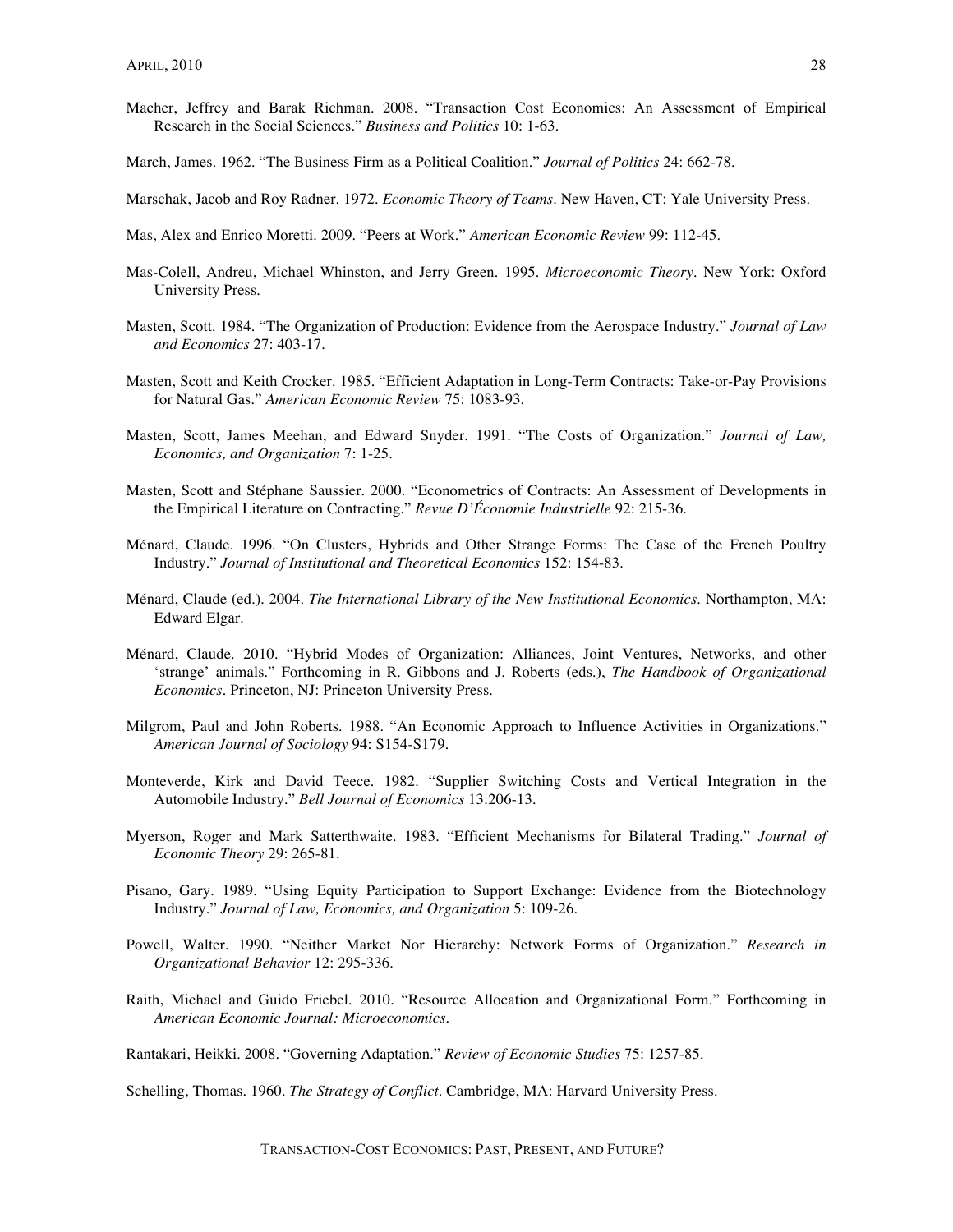- Macher, Jeffrey and Barak Richman. 2008. "Transaction Cost Economics: An Assessment of Empirical Research in the Social Sciences." *Business and Politics* 10: 1-63.
- March, James. 1962. "The Business Firm as a Political Coalition." *Journal of Politics* 24: 662-78.

Marschak, Jacob and Roy Radner. 1972. *Economic Theory of Teams*. New Haven, CT: Yale University Press.

- Mas, Alex and Enrico Moretti. 2009. "Peers at Work." *American Economic Review* 99: 112-45.
- Mas-Colell, Andreu, Michael Whinston, and Jerry Green. 1995. *Microeconomic Theory*. New York: Oxford University Press.
- Masten, Scott. 1984. "The Organization of Production: Evidence from the Aerospace Industry." *Journal of Law and Economics* 27: 403-17.
- Masten, Scott and Keith Crocker. 1985. "Efficient Adaptation in Long-Term Contracts: Take-or-Pay Provisions for Natural Gas." *American Economic Review* 75: 1083-93.
- Masten, Scott, James Meehan, and Edward Snyder. 1991. "The Costs of Organization." *Journal of Law, Economics, and Organization* 7: 1-25.
- Masten, Scott and Stéphane Saussier. 2000. "Econometrics of Contracts: An Assessment of Developments in the Empirical Literature on Contracting." *Revue D'Économie Industrielle* 92: 215-36.
- Ménard, Claude. 1996. "On Clusters, Hybrids and Other Strange Forms: The Case of the French Poultry Industry." *Journal of Institutional and Theoretical Economics* 152: 154-83.
- Ménard, Claude (ed.). 2004. *The International Library of the New Institutional Economics*. Northampton, MA: Edward Elgar.
- Ménard, Claude. 2010. "Hybrid Modes of Organization: Alliances, Joint Ventures, Networks, and other 'strange' animals." Forthcoming in R. Gibbons and J. Roberts (eds.), *The Handbook of Organizational Economics*. Princeton, NJ: Princeton University Press.
- Milgrom, Paul and John Roberts. 1988. "An Economic Approach to Influence Activities in Organizations." *American Journal of Sociology* 94: S154-S179.
- Monteverde, Kirk and David Teece. 1982. "Supplier Switching Costs and Vertical Integration in the Automobile Industry." *Bell Journal of Economics* 13:206-13.
- Myerson, Roger and Mark Satterthwaite. 1983. "Efficient Mechanisms for Bilateral Trading." *Journal of Economic Theory* 29: 265-81.
- Pisano, Gary. 1989. "Using Equity Participation to Support Exchange: Evidence from the Biotechnology Industry." *Journal of Law, Economics, and Organization* 5: 109-26.
- Powell, Walter. 1990. "Neither Market Nor Hierarchy: Network Forms of Organization." *Research in Organizational Behavior* 12: 295-336.
- Raith, Michael and Guido Friebel. 2010. "Resource Allocation and Organizational Form." Forthcoming in *American Economic Journal: Microeconomics*.

Schelling, Thomas. 1960. *The Strategy of Conflict*. Cambridge, MA: Harvard University Press.

Rantakari, Heikki. 2008. "Governing Adaptation." *Review of Economic Studies* 75: 1257-85.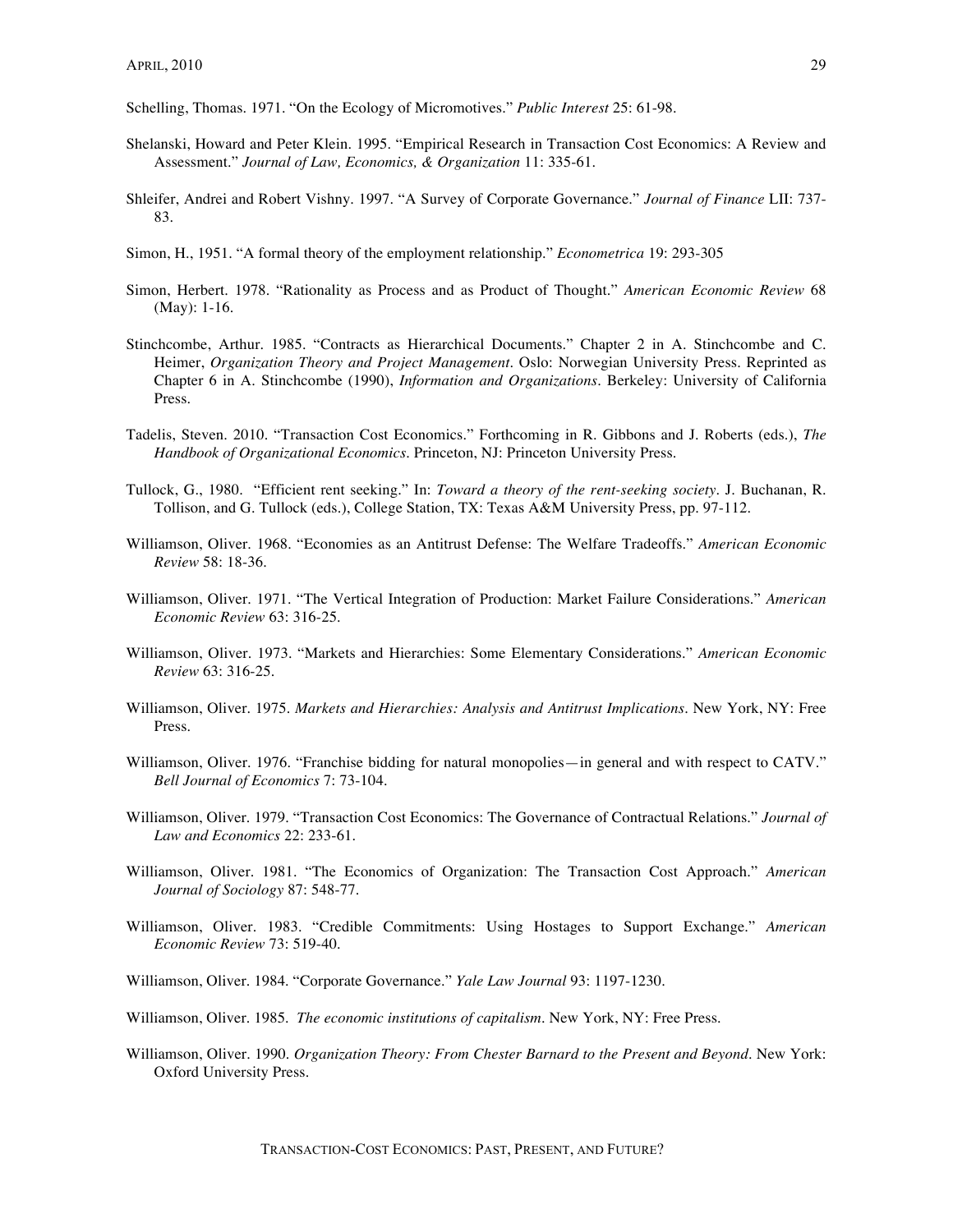Schelling, Thomas. 1971. "On the Ecology of Micromotives." *Public Interest* 25: 61-98.

- Shelanski, Howard and Peter Klein. 1995. "Empirical Research in Transaction Cost Economics: A Review and Assessment." *Journal of Law, Economics, & Organization* 11: 335-61.
- Shleifer, Andrei and Robert Vishny. 1997. "A Survey of Corporate Governance." *Journal of Finance* LII: 737- 83.
- Simon, H., 1951. "A formal theory of the employment relationship." *Econometrica* 19: 293-305
- Simon, Herbert. 1978. "Rationality as Process and as Product of Thought." *American Economic Review* 68 (May): 1-16.
- Stinchcombe, Arthur. 1985. "Contracts as Hierarchical Documents." Chapter 2 in A. Stinchcombe and C. Heimer, *Organization Theory and Project Management*. Oslo: Norwegian University Press. Reprinted as Chapter 6 in A. Stinchcombe (1990), *Information and Organizations*. Berkeley: University of California Press.
- Tadelis, Steven. 2010. "Transaction Cost Economics." Forthcoming in R. Gibbons and J. Roberts (eds.), *The Handbook of Organizational Economics*. Princeton, NJ: Princeton University Press.
- Tullock, G., 1980. "Efficient rent seeking." In: *Toward a theory of the rent-seeking society.* J. Buchanan, R. Tollison, and G. Tullock (eds.), College Station, TX: Texas A&M University Press, pp. 97-112.
- Williamson, Oliver. 1968. "Economies as an Antitrust Defense: The Welfare Tradeoffs." *American Economic Review* 58: 18-36.
- Williamson, Oliver. 1971. "The Vertical Integration of Production: Market Failure Considerations." *American Economic Review* 63: 316-25.
- Williamson, Oliver. 1973. "Markets and Hierarchies: Some Elementary Considerations." *American Economic Review* 63: 316-25.
- Williamson, Oliver. 1975. *Markets and Hierarchies: Analysis and Antitrust Implications*. New York, NY: Free Press.
- Williamson, Oliver. 1976. "Franchise bidding for natural monopolies—in general and with respect to CATV." *Bell Journal of Economics* 7: 73-104.
- Williamson, Oliver. 1979. "Transaction Cost Economics: The Governance of Contractual Relations." *Journal of Law and Economics* 22: 233-61.
- Williamson, Oliver. 1981. "The Economics of Organization: The Transaction Cost Approach." *American Journal of Sociology* 87: 548-77.
- Williamson, Oliver. 1983. "Credible Commitments: Using Hostages to Support Exchange." *American Economic Review* 73: 519-40.
- Williamson, Oliver. 1984. "Corporate Governance." *Yale Law Journal* 93: 1197-1230.
- Williamson, Oliver. 1985. *The economic institutions of capitalism.* New York, NY: Free Press.
- Williamson, Oliver. 1990. *Organization Theory: From Chester Barnard to the Present and Beyond*. New York: Oxford University Press.